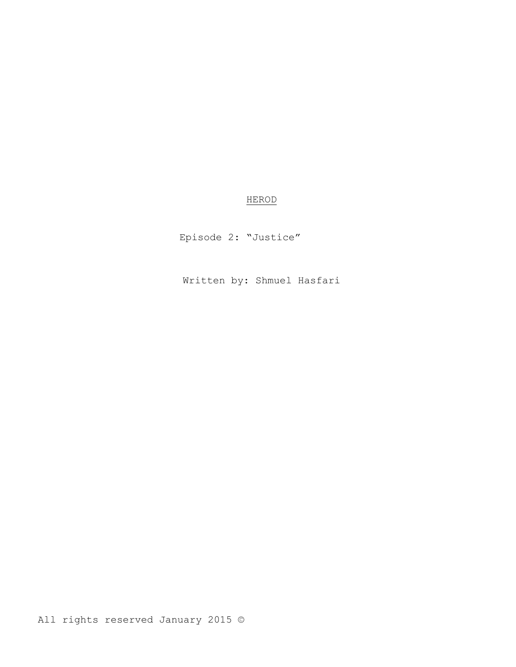# HEROD

Episode 2: "Justice"

Written by: Shmuel Hasfari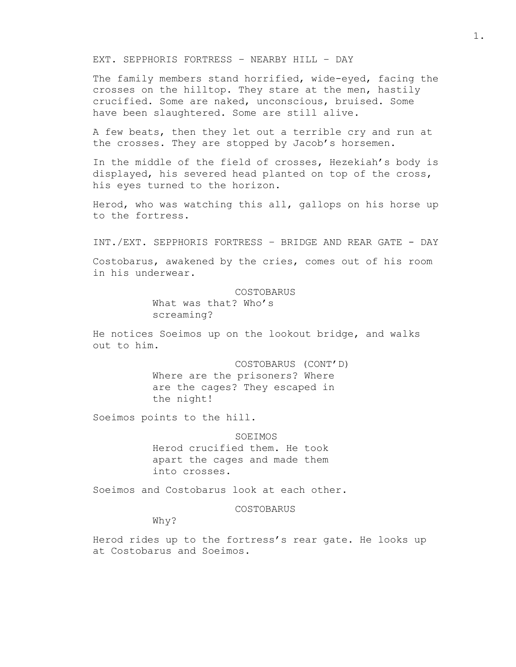EXT. SEPPHORIS FORTRESS – NEARBY HILL – DAY

The family members stand horrified, wide-eyed, facing the crosses on the hilltop. They stare at the men, hastily crucified. Some are naked, unconscious, bruised. Some have been slaughtered. Some are still alive.

A few beats, then they let out a terrible cry and run at the crosses. They are stopped by Jacob's horsemen.

In the middle of the field of crosses, Hezekiah's body is displayed, his severed head planted on top of the cross, his eyes turned to the horizon.

Herod, who was watching this all, gallops on his horse up to the fortress.

INT./EXT. SEPPHORIS FORTRESS – BRIDGE AND REAR GATE - DAY

Costobarus, awakened by the cries, comes out of his room in his underwear.

# COSTOBARUS

What was that? Who's screaming?

He notices Soeimos up on the lookout bridge, and walks out to him.

> COSTOBARUS (CONT'D) Where are the prisoners? Where are the cages? They escaped in the night!

Soeimos points to the hill.

**SOEIMOS** Herod crucified them. He took apart the cages and made them into crosses.

Soeimos and Costobarus look at each other.

COSTOBARUS

Why?

Herod rides up to the fortress's rear gate. He looks up at Costobarus and Soeimos.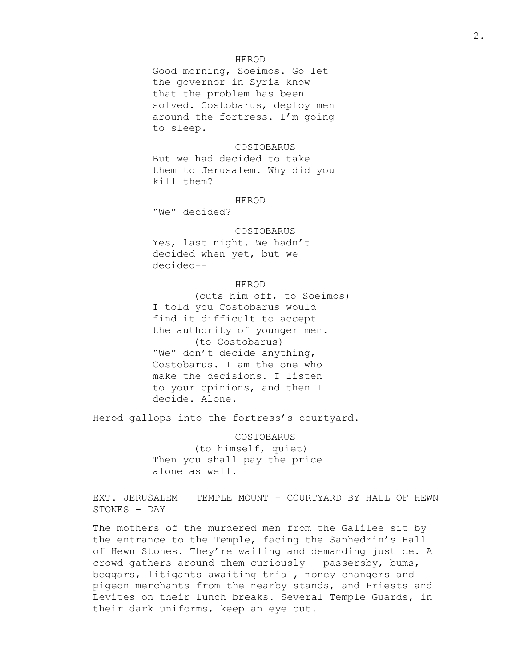# HEROD

Good morning, Soeimos. Go let the governor in Syria know that the problem has been solved. Costobarus, deploy men around the fortress. I'm going to sleep.

#### COSTOBARUS

But we had decided to take them to Jerusalem. Why did you kill them?

HEROD

"We" decided?

#### COSTOBARUS

Yes, last night. We hadn't decided when yet, but we decided--

# HEROD

(cuts him off, to Soeimos) I told you Costobarus would find it difficult to accept the authority of younger men. (to Costobarus) "We" don't decide anything, Costobarus. I am the one who make the decisions. I listen to your opinions, and then I decide. Alone.

Herod gallops into the fortress's courtyard.

COSTOBARUS (to himself, quiet) Then you shall pay the price alone as well.

EXT. JERUSALEM – TEMPLE MOUNT - COURTYARD BY HALL OF HEWN STONES – DAY

The mothers of the murdered men from the Galilee sit by the entrance to the Temple, facing the Sanhedrin's Hall of Hewn Stones. They're wailing and demanding justice. A crowd gathers around them curiously – passersby, bums, beggars, litigants awaiting trial, money changers and pigeon merchants from the nearby stands, and Priests and Levites on their lunch breaks. Several Temple Guards, in their dark uniforms, keep an eye out.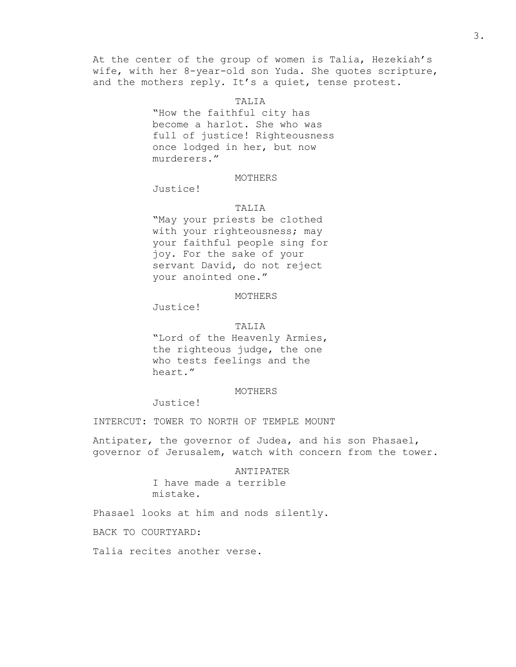At the center of the group of women is Talia, Hezekiah's wife, with her 8-year-old son Yuda. She quotes scripture, and the mothers reply. It's a quiet, tense protest.

TALIA

"How the faithful city has become a harlot. She who was full of justice! Righteousness once lodged in her, but now murderers."

## MOTHERS

Justice!

# TALIA

"May your priests be clothed with your righteousness; may your faithful people sing for joy. For the sake of your servant David, do not reject your anointed one."

#### MOTHERS

Justice!

## TALIA

"Lord of the Heavenly Armies, the righteous judge, the one who tests feelings and the heart."

#### MOTHERS

Justice!

INTERCUT: TOWER TO NORTH OF TEMPLE MOUNT

Antipater, the governor of Judea, and his son Phasael, governor of Jerusalem, watch with concern from the tower.

# ANTIPATER I have made a terrible mistake.

Phasael looks at him and nods silently.

BACK TO COURTYARD:

Talia recites another verse.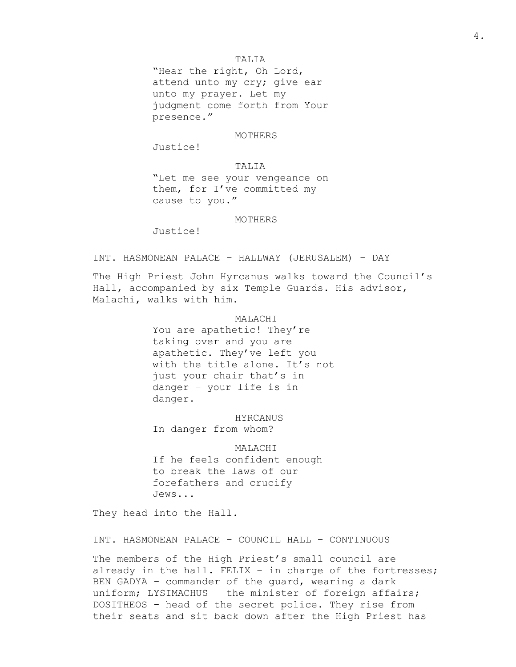# TALIA

"Hear the right, Oh Lord, attend unto my cry; give ear unto my prayer. Let my judgment come forth from Your presence."

## MOTHERS

Justice!

# TALIA

"Let me see your vengeance on them, for I've committed my cause to you."

#### MOTHERS

Justice!

INT. HASMONEAN PALACE – HALLWAY (JERUSALEM) – DAY

The High Priest John Hyrcanus walks toward the Council's Hall, accompanied by six Temple Guards. His advisor, Malachi, walks with him.

### MALACHI

You are apathetic! They're taking over and you are apathetic. They've left you with the title alone. It's not just your chair that's in danger – your life is in danger.

HYRCANUS In danger from whom?

MALACHI If he feels confident enough to break the laws of our forefathers and crucify Jews...

They head into the Hall.

INT. HASMONEAN PALACE – COUNCIL HALL – CONTINUOUS

The members of the High Priest's small council are already in the hall. FELIX – in charge of the fortresses; BEN GADYA – commander of the guard, wearing a dark uniform; LYSIMACHUS – the minister of foreign affairs; DOSITHEOS – head of the secret police. They rise from their seats and sit back down after the High Priest has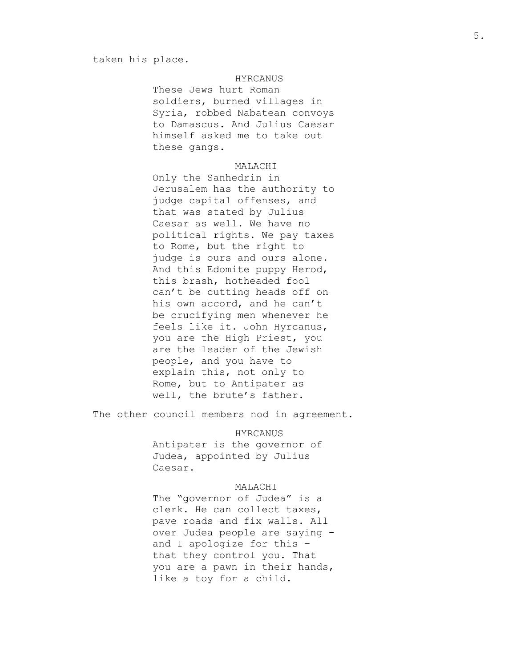#### taken his place.

# HYRCANUS

These Jews hurt Roman soldiers, burned villages in Syria, robbed Nabatean convoys to Damascus. And Julius Caesar himself asked me to take out these gangs.

# MALACHI

Only the Sanhedrin in Jerusalem has the authority to judge capital offenses, and that was stated by Julius Caesar as well. We have no political rights. We pay taxes to Rome, but the right to judge is ours and ours alone. And this Edomite puppy Herod, this brash, hotheaded fool can't be cutting heads off on his own accord, and he can't be crucifying men whenever he feels like it. John Hyrcanus, you are the High Priest, you are the leader of the Jewish people, and you have to explain this, not only to Rome, but to Antipater as well, the brute's father.

The other council members nod in agreement.

HYRCANUS Antipater is the governor of Judea, appointed by Julius Caesar.

#### MALACHI

The "governor of Judea" is a clerk. He can collect taxes, pave roads and fix walls. All over Judea people are saying – and I apologize for this – that they control you. That you are a pawn in their hands, like a toy for a child.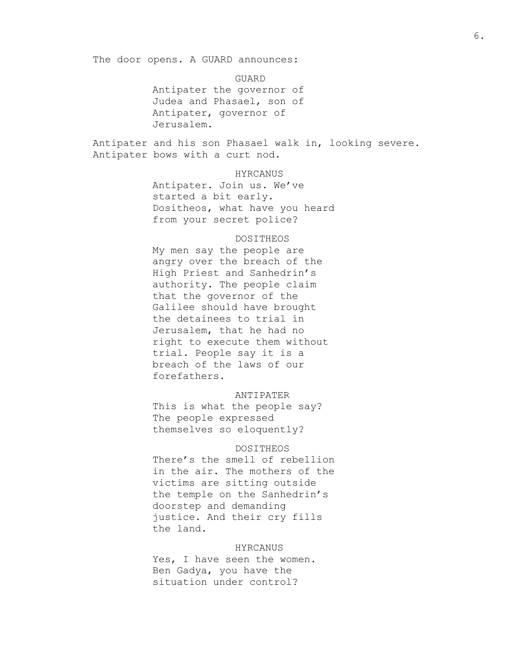The door opens. A GUARD announces:

GUARD Antipater the governor of Judea and Phasael, son of Antipater, governor of Jerusalem.

Antipater and his son Phasael walk in, looking severe. Antipater bows with a curt nod.

#### HYRCANUS

Antipater. Join us. We've started a bit early. Dositheos, what have you heard from your secret police?

#### DOSITHEOS

My men say the people are angry over the breach of the High Priest and Sanhedrin's authority. The people claim that the governor of the Galilee should have brought the detainees to trial in Jerusalem, that he had no right to execute them without trial. People say it is a breach of the laws of our forefathers.

# ANTIPATER

This is what the people say? The people expressed themselves so eloquently?

#### DOSITHEOS

There's the smell of rebellion in the air. The mothers of the victims are sitting outside the temple on the Sanhedrin's doorstep and demanding justice. And their cry fills the land.

### HYRCANUS

Yes, I have seen the women. Ben Gadya, you have the situation under control?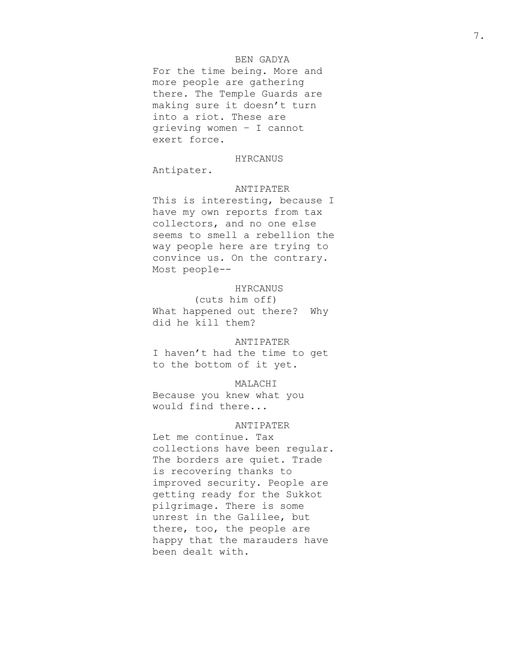# BEN GADYA

For the time being. More and more people are gathering there. The Temple Guards are making sure it doesn't turn into a riot. These are grieving women – I cannot exert force.

## HYRCANUS

Antipater.

#### ANTIPATER

This is interesting, because I have my own reports from tax collectors, and no one else seems to smell a rebellion the way people here are trying to convince us. On the contrary. Most people--

# HYRCANUS

(cuts him off) What happened out there? Why did he kill them?

## ANTIPATER

I haven't had the time to get to the bottom of it yet.

# MALACHI

Because you knew what you would find there...

# ANTIPATER

Let me continue. Tax collections have been regular. The borders are quiet. Trade is recovering thanks to improved security. People are getting ready for the Sukkot pilgrimage. There is some unrest in the Galilee, but there, too, the people are happy that the marauders have been dealt with.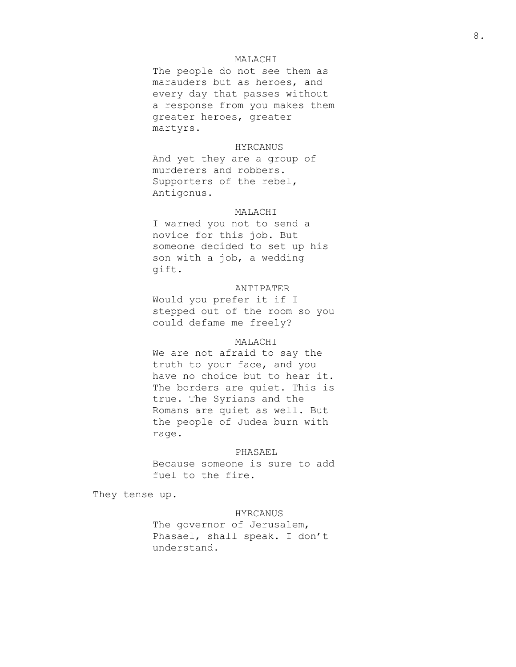# MALACHI

The people do not see them as marauders but as heroes, and every day that passes without a response from you makes them greater heroes, greater martyrs.

# HYRCANUS

And yet they are a group of murderers and robbers. Supporters of the rebel, Antigonus.

## MALACHI

I warned you not to send a novice for this job. But someone decided to set up his son with a job, a wedding gift.

# ANTIPATER

Would you prefer it if I stepped out of the room so you could defame me freely?

# MALACHI

We are not afraid to say the truth to your face, and you have no choice but to hear it. The borders are quiet. This is true. The Syrians and the Romans are quiet as well. But the people of Judea burn with rage.

## PHASAEL

Because someone is sure to add fuel to the fire.

They tense up.

#### HYRCANUS

The governor of Jerusalem, Phasael, shall speak. I don't understand.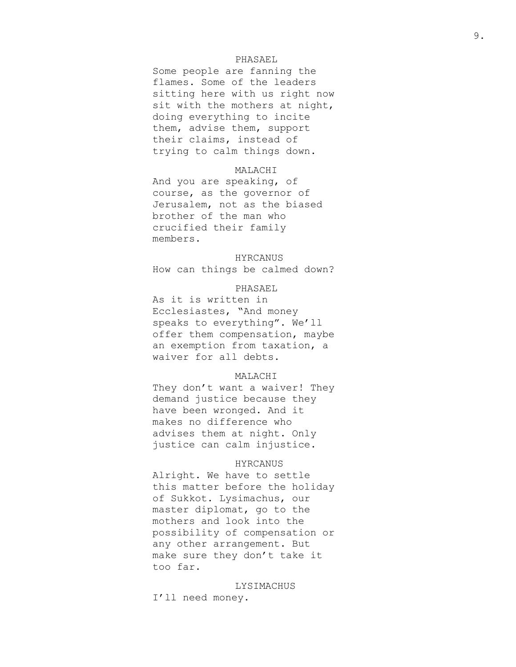# PHASAEL

Some people are fanning the flames. Some of the leaders sitting here with us right now sit with the mothers at night, doing everything to incite them, advise them, support their claims, instead of trying to calm things down.

# MALACHI

And you are speaking, of course, as the governor of Jerusalem, not as the biased brother of the man who crucified their family members.

#### HYRCANUS

How can things be calmed down?

# PHASAEL

As it is written in Ecclesiastes, "And money speaks to everything". We'll offer them compensation, maybe an exemption from taxation, a waiver for all debts.

## MALACHI

They don't want a waiver! They demand justice because they have been wronged. And it makes no difference who advises them at night. Only justice can calm injustice.

# HYRCANUS

Alright. We have to settle this matter before the holiday of Sukkot. Lysimachus, our master diplomat, go to the mothers and look into the possibility of compensation or any other arrangement. But make sure they don't take it too far.

LYSIMACHUS I'll need money.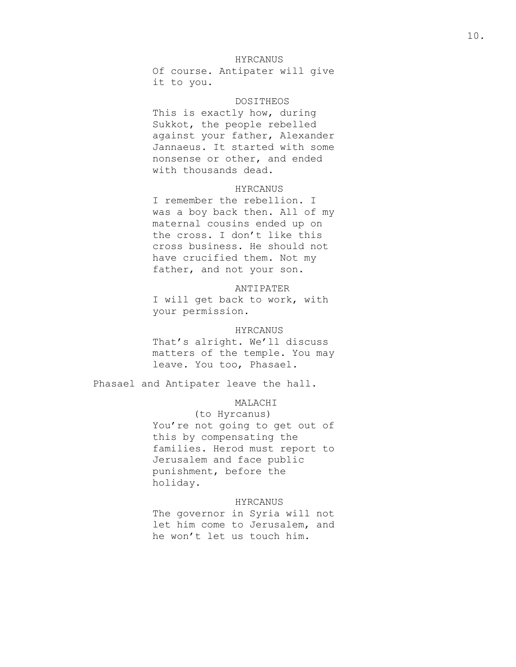# HYRCANUS

Of course. Antipater will give it to you.

#### DOSITHEOS

This is exactly how, during Sukkot, the people rebelled against your father, Alexander Jannaeus. It started with some nonsense or other, and ended with thousands dead.

## HYRCANUS

I remember the rebellion. I was a boy back then. All of my maternal cousins ended up on the cross. I don't like this cross business. He should not have crucified them. Not my father, and not your son.

# ANTIPATER

I will get back to work, with your permission.

#### HYRCANUS

That's alright. We'll discuss matters of the temple. You may leave. You too, Phasael.

Phasael and Antipater leave the hall.

## MALACHI

(to Hyrcanus) You're not going to get out of this by compensating the families. Herod must report to Jerusalem and face public punishment, before the holiday.

## HYRCANUS

The governor in Syria will not let him come to Jerusalem, and he won't let us touch him.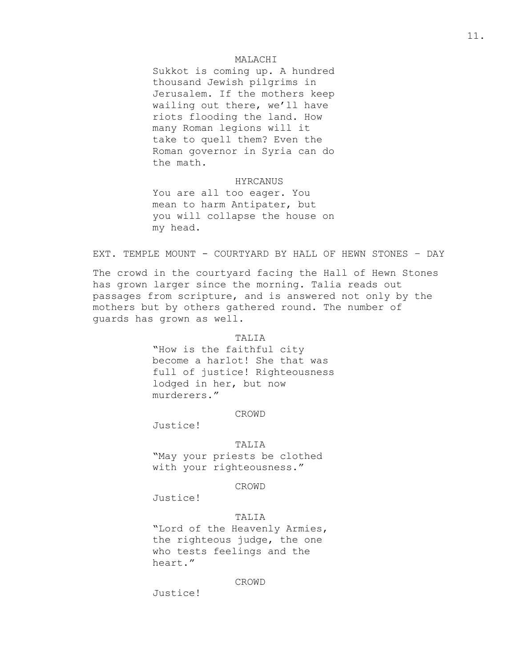## MALACHI

Sukkot is coming up. A hundred thousand Jewish pilgrims in Jerusalem. If the mothers keep wailing out there, we'll have riots flooding the land. How many Roman legions will it take to quell them? Even the Roman governor in Syria can do the math.

#### HYRCANUS

You are all too eager. You mean to harm Antipater, but you will collapse the house on my head.

## EXT. TEMPLE MOUNT - COURTYARD BY HALL OF HEWN STONES – DAY

The crowd in the courtyard facing the Hall of Hewn Stones has grown larger since the morning. Talia reads out passages from scripture, and is answered not only by the mothers but by others gathered round. The number of guards has grown as well.

## TALIA

"How is the faithful city become a harlot! She that was full of justice! Righteousness lodged in her, but now murderers."

## CROWD

Justice!

#### TALIA

"May your priests be clothed with your righteousness."

## CROWD

Justice!

# TALIA

"Lord of the Heavenly Armies, the righteous judge, the one who tests feelings and the heart."

#### CROWD

Justice!

11.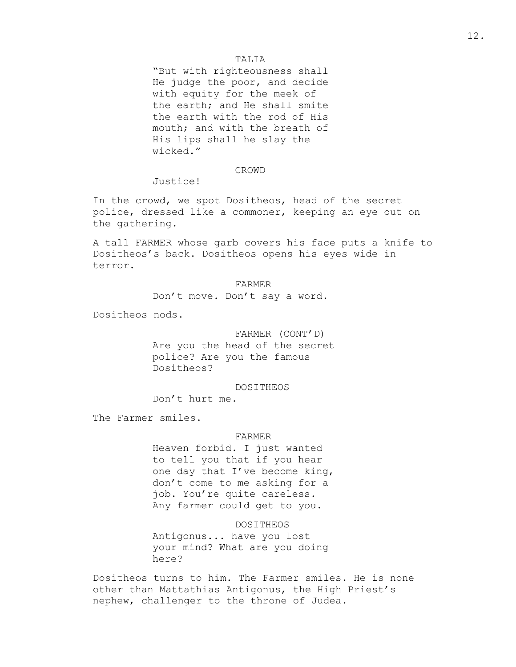# TALIA

"But with righteousness shall He judge the poor, and decide with equity for the meek of the earth; and He shall smite the earth with the rod of His mouth; and with the breath of His lips shall he slay the wicked."

## CROWD

Justice!

In the crowd, we spot Dositheos, head of the secret police, dressed like a commoner, keeping an eye out on the gathering.

A tall FARMER whose garb covers his face puts a knife to Dositheos's back. Dositheos opens his eyes wide in terror.

> FARMER Don't move. Don't say a word.

Dositheos nods.

## FARMER (CONT'D)

Are you the head of the secret police? Are you the famous Dositheos?

DOSITHEOS

Don't hurt me.

The Farmer smiles.

## FARMER

Heaven forbid. I just wanted to tell you that if you hear one day that I've become king, don't come to me asking for a job. You're quite careless. Any farmer could get to you.

DOSITHEOS Antigonus... have you lost your mind? What are you doing here?

Dositheos turns to him. The Farmer smiles. He is none other than Mattathias Antigonus, the High Priest's nephew, challenger to the throne of Judea.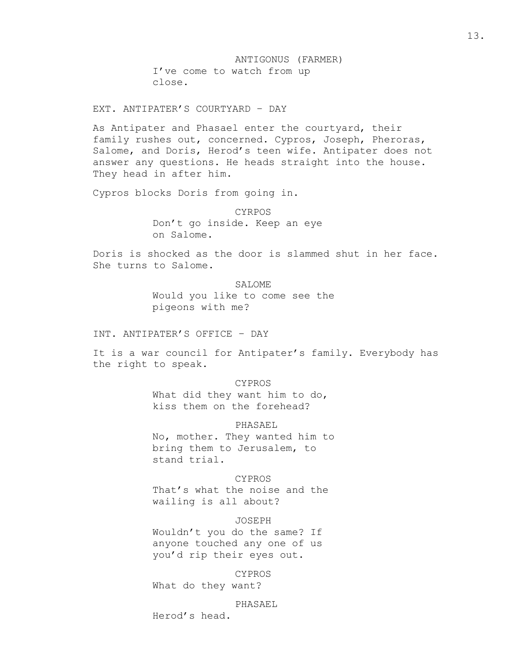ANTIGONUS (FARMER) I've come to watch from up close.

EXT. ANTIPATER'S COURTYARD – DAY

As Antipater and Phasael enter the courtyard, their family rushes out, concerned. Cypros, Joseph, Pheroras, Salome, and Doris, Herod's teen wife. Antipater does not answer any questions. He heads straight into the house. They head in after him.

Cypros blocks Doris from going in.

CYRPOS Don't go inside. Keep an eye on Salome.

Doris is shocked as the door is slammed shut in her face. She turns to Salome.

> SALOME Would you like to come see the pigeons with me?

INT. ANTIPATER'S OFFICE – DAY

It is a war council for Antipater's family. Everybody has the right to speak.

> CYPROS What did they want him to do, kiss them on the forehead?

PHASAEL No, mother. They wanted him to bring them to Jerusalem, to stand trial.

CYPROS That's what the noise and the wailing is all about?

JOSEPH Wouldn't you do the same? If anyone touched any one of us you'd rip their eyes out.

CYPROS

What do they want?

PHASAEL

Herod's head.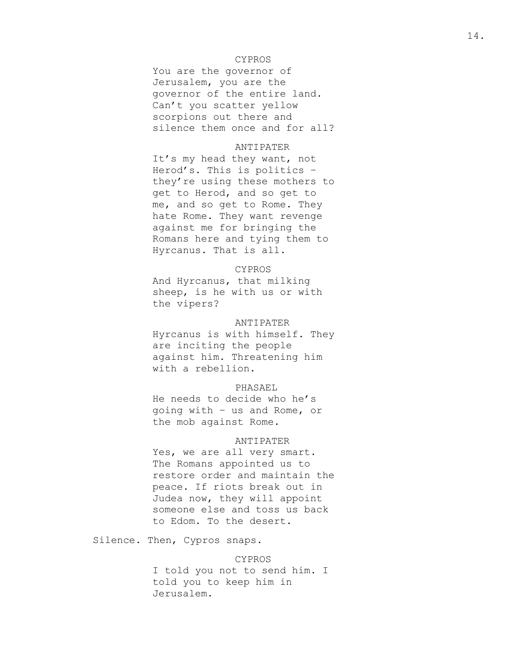# CYPROS

You are the governor of Jerusalem, you are the governor of the entire land. Can't you scatter yellow scorpions out there and silence them once and for all?

# ANTIPATER

It's my head they want, not Herod's. This is politics – they're using these mothers to get to Herod, and so get to me, and so get to Rome. They hate Rome. They want revenge against me for bringing the Romans here and tying them to Hyrcanus. That is all.

# CYPROS

And Hyrcanus, that milking sheep, is he with us or with the vipers?

#### ANTIPATER

Hyrcanus is with himself. They are inciting the people against him. Threatening him with a rebellion.

#### PHASAEL

He needs to decide who he's going with – us and Rome, or the mob against Rome.

## ANTIPATER

Yes, we are all very smart. The Romans appointed us to restore order and maintain the peace. If riots break out in Judea now, they will appoint someone else and toss us back to Edom. To the desert.

Silence. Then, Cypros snaps.

#### CYPROS

I told you not to send him. I told you to keep him in Jerusalem.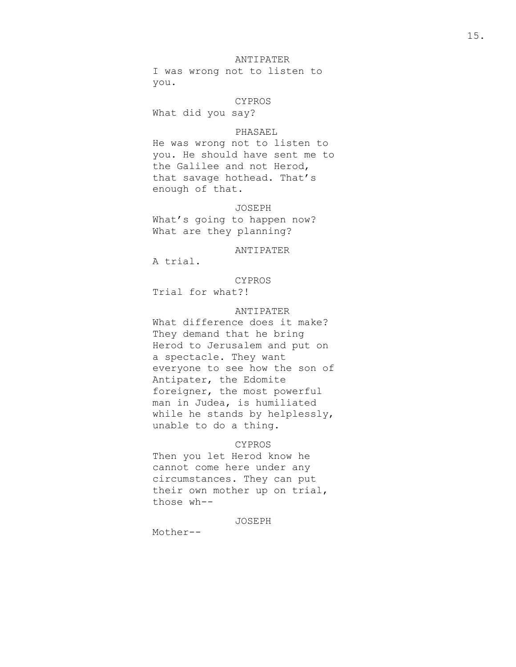I was wrong not to listen to you.

#### CYPROS

What did you say?

## PHASAEL

He was wrong not to listen to you. He should have sent me to the Galilee and not Herod, that savage hothead. That's enough of that.

## JOSEPH

What's going to happen now? What are they planning?

# ANTIPATER

A trial.

# CYPROS

Trial for what?!

# ANTIPATER

What difference does it make? They demand that he bring Herod to Jerusalem and put on a spectacle. They want everyone to see how the son of Antipater, the Edomite foreigner, the most powerful man in Judea, is humiliated while he stands by helplessly, unable to do a thing.

#### CYPROS

Then you let Herod know he cannot come here under any circumstances. They can put their own mother up on trial, those wh--

# JOSEPH

Mother--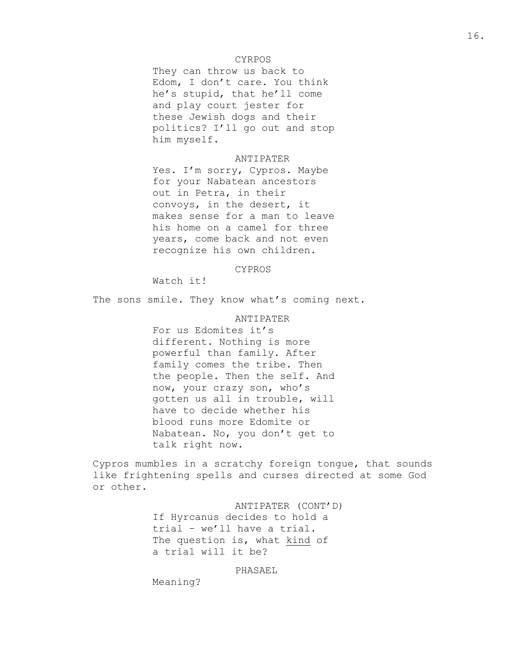## CYRPOS

They can throw us back to Edom, I don't care. You think he's stupid, that he'll come and play court jester for these Jewish dogs and their politics? I'll go out and stop him myself.

## ANTIPATER

Yes. I'm sorry, Cypros. Maybe for your Nabatean ancestors out in Petra, in their convoys, in the desert, it makes sense for a man to leave his home on a camel for three years, come back and not even recognize his own children.

# CYPROS

Watch it!

The sons smile. They know what's coming next.

#### ANTIPATER

For us Edomites it's different. Nothing is more powerful than family. After family comes the tribe. Then the people. Then the self. And now, your crazy son, who's gotten us all in trouble, will have to decide whether his blood runs more Edomite or Nabatean. No, you don't get to talk right now.

Cypros mumbles in a scratchy foreign tongue, that sounds like frightening spells and curses directed at some God or other.

> ANTIPATER (CONT'D) If Hyrcanus decides to hold a trial – we'll have a trial. The question is, what kind of a trial will it be?

# PHASAEL

Meaning?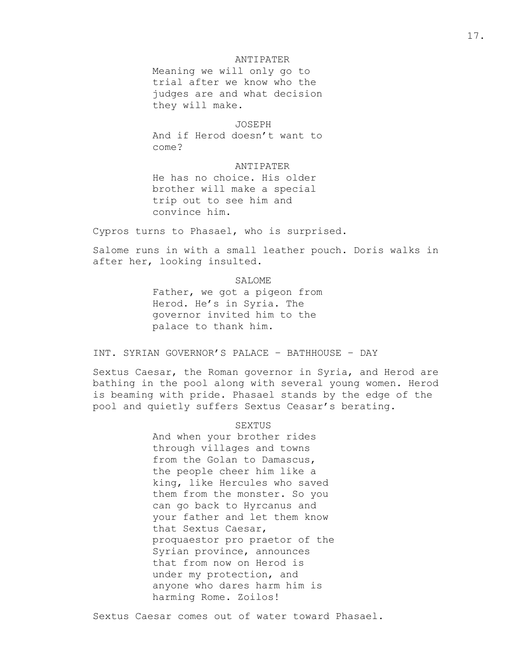Meaning we will only go to trial after we know who the judges are and what decision they will make.

#### JOSEPH

And if Herod doesn't want to come?

## ANTIPATER

He has no choice. His older brother will make a special trip out to see him and convince him.

Cypros turns to Phasael, who is surprised.

Salome runs in with a small leather pouch. Doris walks in after her, looking insulted.

> SALOME Father, we got a pigeon from Herod. He's in Syria. The governor invited him to the palace to thank him.

INT. SYRIAN GOVERNOR'S PALACE – BATHHOUSE – DAY

Sextus Caesar, the Roman governor in Syria, and Herod are bathing in the pool along with several young women. Herod is beaming with pride. Phasael stands by the edge of the pool and quietly suffers Sextus Ceasar's berating.

## SEXTUS

And when your brother rides through villages and towns from the Golan to Damascus, the people cheer him like a king, like Hercules who saved them from the monster. So you can go back to Hyrcanus and your father and let them know that Sextus Caesar, proquaestor pro praetor of the Syrian province, announces that from now on Herod is under my protection, and anyone who dares harm him is harming Rome. Zoilos!

Sextus Caesar comes out of water toward Phasael.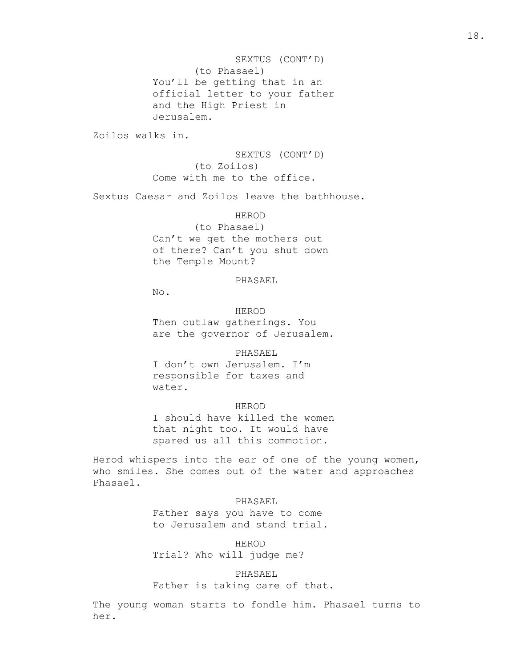SEXTUS (CONT'D) (to Phasael) You'll be getting that in an official letter to your father and the High Priest in Jerusalem.

Zoilos walks in.

SEXTUS (CONT'D) (to Zoilos) Come with me to the office.

Sextus Caesar and Zoilos leave the bathhouse.

#### HEROD

(to Phasael) Can't we get the mothers out of there? Can't you shut down the Temple Mount?

#### PHASAEL

No.

HEROD Then outlaw gatherings. You are the governor of Jerusalem.

PHASAEL

I don't own Jerusalem. I'm responsible for taxes and water.

#### HEROD

I should have killed the women that night too. It would have spared us all this commotion.

Herod whispers into the ear of one of the young women, who smiles. She comes out of the water and approaches Phasael.

## PHASAEL

Father says you have to come to Jerusalem and stand trial.

HEROD Trial? Who will judge me?

PHASAEL

Father is taking care of that.

The young woman starts to fondle him. Phasael turns to her.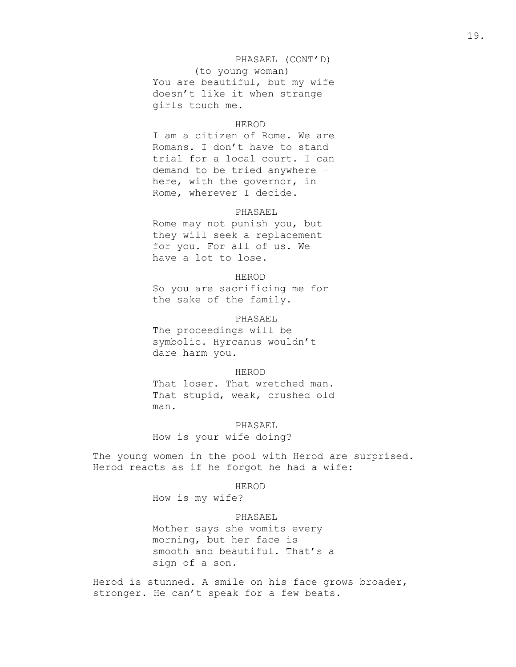## PHASAEL (CONT'D)

(to young woman) You are beautiful, but my wife doesn't like it when strange girls touch me.

#### HEROD

I am a citizen of Rome. We are Romans. I don't have to stand trial for a local court. I can demand to be tried anywhere – here, with the governor, in Rome, wherever I decide.

#### PHASAEL

Rome may not punish you, but they will seek a replacement for you. For all of us. We have a lot to lose.

## HEROD

So you are sacrificing me for the sake of the family.

## PHASAEL

The proceedings will be symbolic. Hyrcanus wouldn't dare harm you.

#### HEROD

That loser. That wretched man. That stupid, weak, crushed old man.

# PHASAEL

How is your wife doing?

The young women in the pool with Herod are surprised. Herod reacts as if he forgot he had a wife:

#### HEROD

How is my wife?

# PHASAEL

Mother says she vomits every morning, but her face is smooth and beautiful. That's a sign of a son.

Herod is stunned. A smile on his face grows broader, stronger. He can't speak for a few beats.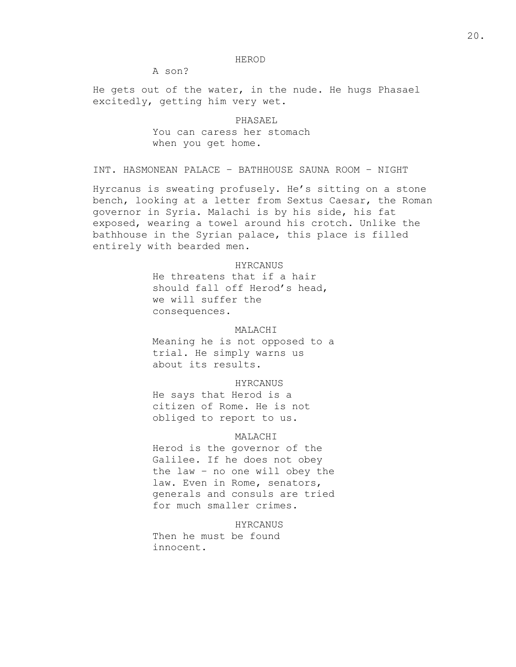#### HEROD

A son?

He gets out of the water, in the nude. He hugs Phasael excitedly, getting him very wet.

> PHASAEL You can caress her stomach when you get home.

INT. HASMONEAN PALACE – BATHHOUSE SAUNA ROOM – NIGHT

Hyrcanus is sweating profusely. He's sitting on a stone bench, looking at a letter from Sextus Caesar, the Roman governor in Syria. Malachi is by his side, his fat exposed, wearing a towel around his crotch. Unlike the bathhouse in the Syrian palace, this place is filled entirely with bearded men.

## HYRCANUS

He threatens that if a hair should fall off Herod's head, we will suffer the consequences.

# MALACHI

Meaning he is not opposed to a trial. He simply warns us about its results.

#### HYRCANUS

He says that Herod is a citizen of Rome. He is not obliged to report to us.

# MALACHI

Herod is the governor of the Galilee. If he does not obey the law – no one will obey the law. Even in Rome, senators, generals and consuls are tried for much smaller crimes.

HYRCANUS

Then he must be found innocent.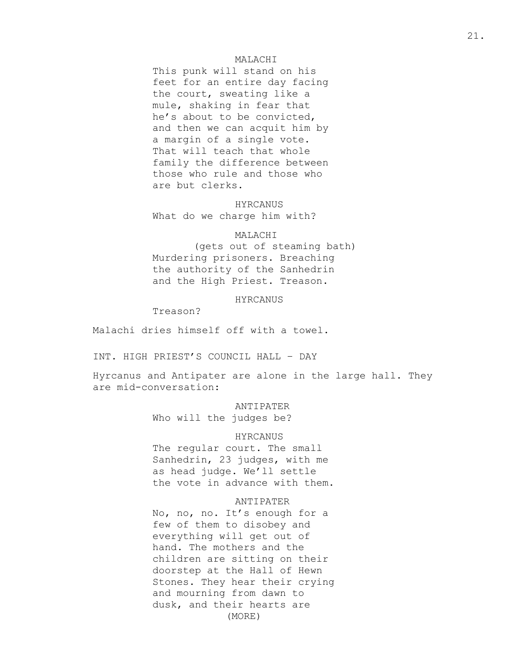## MALACHI

This punk will stand on his feet for an entire day facing the court, sweating like a mule, shaking in fear that he's about to be convicted, and then we can acquit him by a margin of a single vote. That will teach that whole family the difference between those who rule and those who are but clerks.

HYRCANUS What do we charge him with?

# MALACHI

(gets out of steaming bath) Murdering prisoners. Breaching the authority of the Sanhedrin and the High Priest. Treason.

HYRCANUS

Treason?

Malachi dries himself off with a towel.

INT. HIGH PRIEST'S COUNCIL HALL – DAY

Hyrcanus and Antipater are alone in the large hall. They are mid-conversation:

ANTIPATER

Who will the judges be?

# HYRCANUS

The regular court. The small Sanhedrin, 23 judges, with me as head judge. We'll settle the vote in advance with them.

#### ANTIPATER

No, no, no. It's enough for a few of them to disobey and everything will get out of hand. The mothers and the children are sitting on their doorstep at the Hall of Hewn Stones. They hear their crying and mourning from dawn to dusk, and their hearts are (MORE)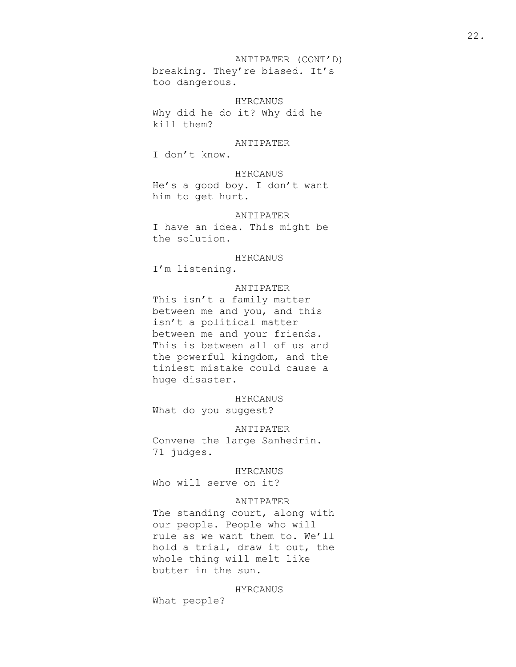ANTIPATER (CONT'D) breaking. They're biased. It's too dangerous.

HYRCANUS Why did he do it? Why did he kill them?

ANTIPATER

I don't know.

HYRCANUS He's a good boy. I don't want him to get hurt.

ANTIPATER I have an idea. This might be the solution.

HYRCANUS

I'm listening.

# ANTIPATER

This isn't a family matter between me and you, and this isn't a political matter between me and your friends. This is between all of us and the powerful kingdom, and the tiniest mistake could cause a huge disaster.

HYRCANUS

What do you suggest?

ANTIPATER Convene the large Sanhedrin. 71 judges.

HYRCANUS

Who will serve on it?

# ANTIPATER

The standing court, along with our people. People who will rule as we want them to. We'll hold a trial, draw it out, the whole thing will melt like butter in the sun.

HYRCANUS

What people?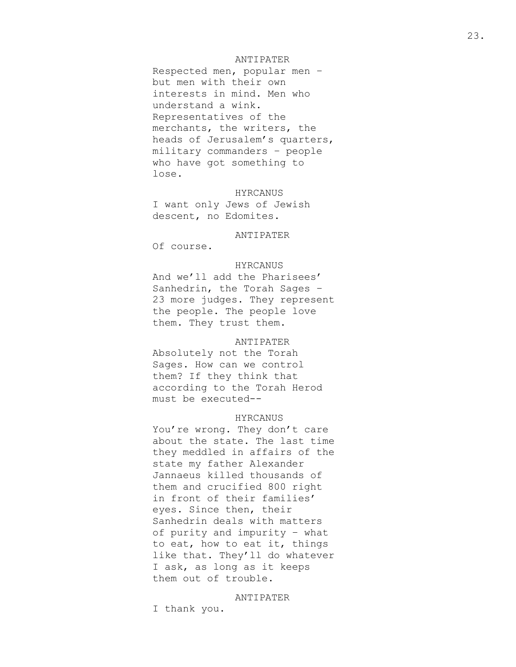Respected men, popular men – but men with their own interests in mind. Men who understand a wink. Representatives of the merchants, the writers, the heads of Jerusalem's quarters, military commanders – people who have got something to lose.

HYRCANUS I want only Jews of Jewish descent, no Edomites.

## ANTIPATER

Of course.

## HYRCANUS

And we'll add the Pharisees' Sanhedrin, the Torah Sages – 23 more judges. They represent the people. The people love them. They trust them.

## ANTIPATER

Absolutely not the Torah Sages. How can we control them? If they think that according to the Torah Herod must be executed--

## HYRCANUS

You're wrong. They don't care about the state. The last time they meddled in affairs of the state my father Alexander Jannaeus killed thousands of them and crucified 800 right in front of their families' eyes. Since then, their Sanhedrin deals with matters of purity and impurity – what to eat, how to eat it, things like that. They'll do whatever I ask, as long as it keeps them out of trouble.

#### ANTIPATER

I thank you.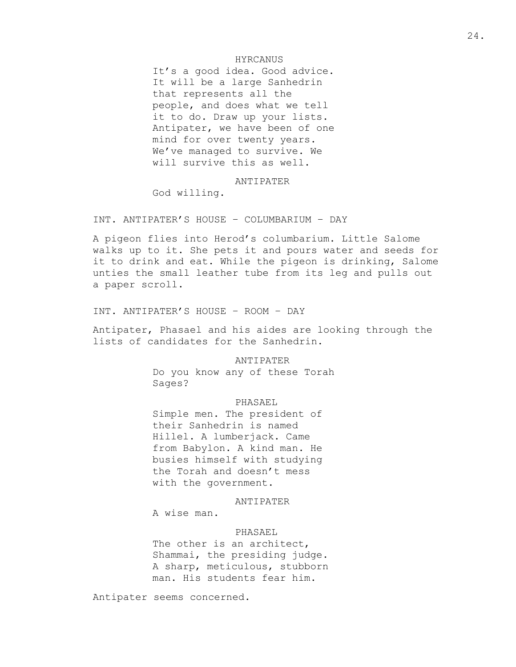# HYRCANUS

It's a good idea. Good advice. It will be a large Sanhedrin that represents all the people, and does what we tell it to do. Draw up your lists. Antipater, we have been of one mind for over twenty years. We've managed to survive. We will survive this as well.

## ANTIPATER

God willing.

INT. ANTIPATER'S HOUSE – COLUMBARIUM – DAY

A pigeon flies into Herod's columbarium. Little Salome walks up to it. She pets it and pours water and seeds for it to drink and eat. While the pigeon is drinking, Salome unties the small leather tube from its leg and pulls out a paper scroll.

INT. ANTIPATER'S HOUSE – ROOM – DAY

Antipater, Phasael and his aides are looking through the lists of candidates for the Sanhedrin.

ANTIPATER

Do you know any of these Torah Sages?

## PHASAEL

Simple men. The president of their Sanhedrin is named Hillel. A lumberjack. Came from Babylon. A kind man. He busies himself with studying the Torah and doesn't mess with the government.

ANTIPATER

A wise man.

#### PHASAEL

The other is an architect, Shammai, the presiding judge. A sharp, meticulous, stubborn man. His students fear him.

Antipater seems concerned.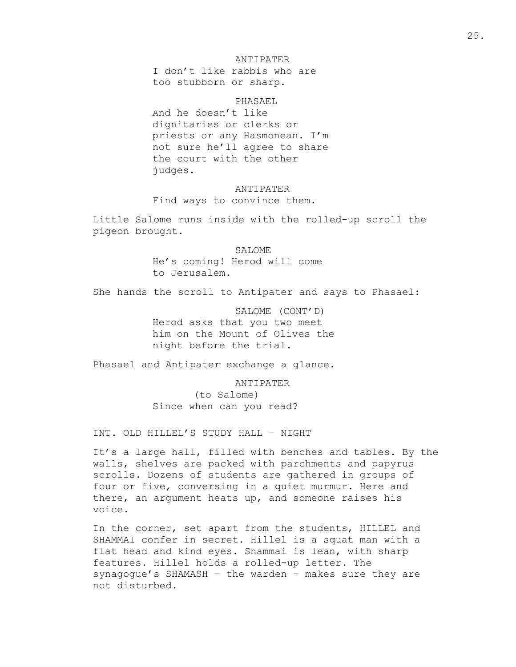I don't like rabbis who are too stubborn or sharp.

## PHASAEL

And he doesn't like dignitaries or clerks or priests or any Hasmonean. I'm not sure he'll agree to share the court with the other judges.

# ANTIPATER Find ways to convince them.

Little Salome runs inside with the rolled-up scroll the pigeon brought.

> SALOME He's coming! Herod will come to Jerusalem.

She hands the scroll to Antipater and says to Phasael:

SALOME (CONT'D) Herod asks that you two meet him on the Mount of Olives the night before the trial.

Phasael and Antipater exchange a glance.

ANTIPATER

(to Salome) Since when can you read?

INT. OLD HILLEL'S STUDY HALL – NIGHT

It's a large hall, filled with benches and tables. By the walls, shelves are packed with parchments and papyrus scrolls. Dozens of students are gathered in groups of four or five, conversing in a quiet murmur. Here and there, an argument heats up, and someone raises his voice.

In the corner, set apart from the students, HILLEL and SHAMMAI confer in secret. Hillel is a squat man with a flat head and kind eyes. Shammai is lean, with sharp features. Hillel holds a rolled-up letter. The synagogue's SHAMASH – the warden – makes sure they are not disturbed.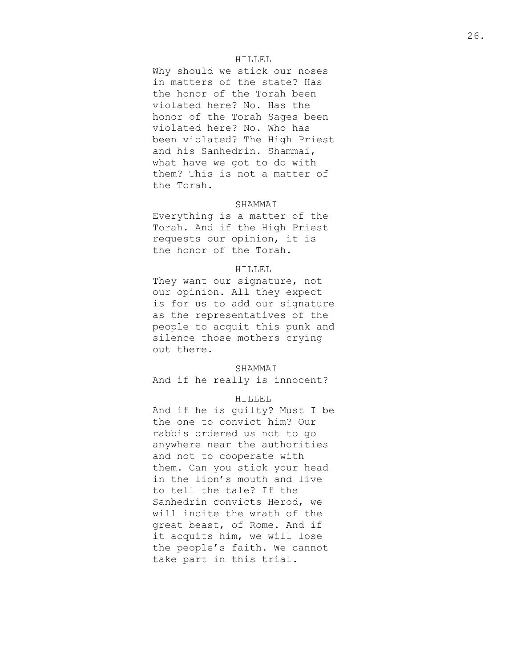#### HILLEL

Why should we stick our noses in matters of the state? Has the honor of the Torah been violated here? No. Has the honor of the Torah Sages been violated here? No. Who has been violated? The High Priest and his Sanhedrin. Shammai, what have we got to do with them? This is not a matter of the Torah.

# SHAMMAI

Everything is a matter of the Torah. And if the High Priest requests our opinion, it is the honor of the Torah.

# HILLEL

They want our signature, not our opinion. All they expect is for us to add our signature as the representatives of the people to acquit this punk and silence those mothers crying out there.

#### SHAMMAI

And if he really is innocent?

# HILLEL

And if he is guilty? Must I be the one to convict him? Our rabbis ordered us not to go anywhere near the authorities and not to cooperate with them. Can you stick your head in the lion's mouth and live to tell the tale? If the Sanhedrin convicts Herod, we will incite the wrath of the great beast, of Rome. And if it acquits him, we will lose the people's faith. We cannot take part in this trial.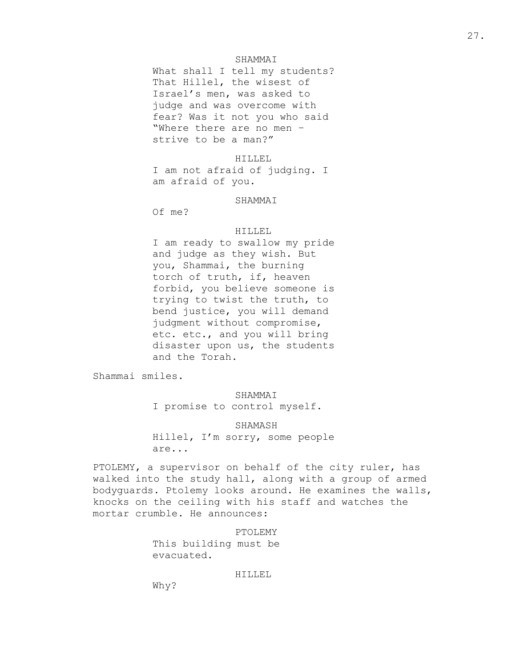#### SHAMMAI

What shall I tell my students? That Hillel, the wisest of Israel's men, was asked to judge and was overcome with fear? Was it not you who said "Where there are no men – strive to be a man?"

#### HILLEL

I am not afraid of judging. I am afraid of you.

#### SHAMMAI

Of me?

## HILLEL

I am ready to swallow my pride and judge as they wish. But you, Shammai, the burning torch of truth, if, heaven forbid, you believe someone is trying to twist the truth, to bend justice, you will demand judgment without compromise, etc. etc., and you will bring disaster upon us, the students and the Torah.

Shammai smiles.

# SHAMMAI

I promise to control myself.

## SHAMASH

Hillel, I'm sorry, some people are...

PTOLEMY, a supervisor on behalf of the city ruler, has walked into the study hall, along with a group of armed bodyguards. Ptolemy looks around. He examines the walls, knocks on the ceiling with his staff and watches the mortar crumble. He announces:

# PTOLEMY

This building must be evacuated.

#### HILLEL

Why?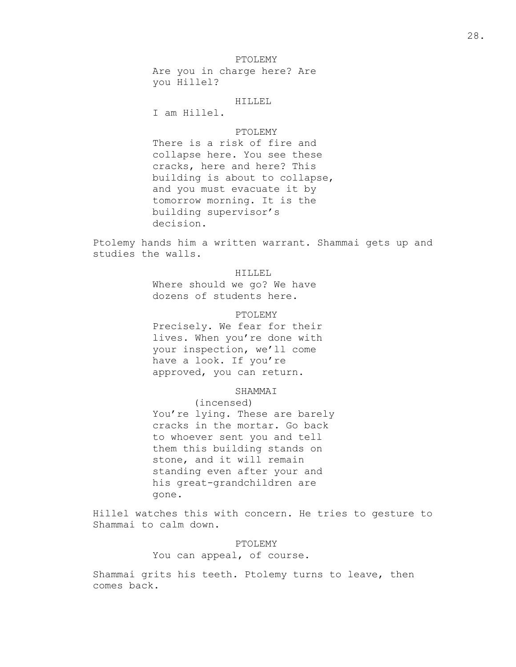## PTOLEMY

Are you in charge here? Are you Hillel?

#### HILLEL

I am Hillel.

# PTOLEMY

There is a risk of fire and collapse here. You see these cracks, here and here? This building is about to collapse, and you must evacuate it by tomorrow morning. It is the building supervisor's decision.

Ptolemy hands him a written warrant. Shammai gets up and studies the walls.

## HILLEL

Where should we go? We have dozens of students here.

# PTOLEMY

Precisely. We fear for their lives. When you're done with your inspection, we'll come have a look. If you're approved, you can return.

# SHAMMAI

(incensed) You're lying. These are barely cracks in the mortar. Go back to whoever sent you and tell them this building stands on stone, and it will remain standing even after your and his great-grandchildren are gone.

Hillel watches this with concern. He tries to gesture to Shammai to calm down.

# PTOLEMY

You can appeal, of course.

Shammai grits his teeth. Ptolemy turns to leave, then comes back.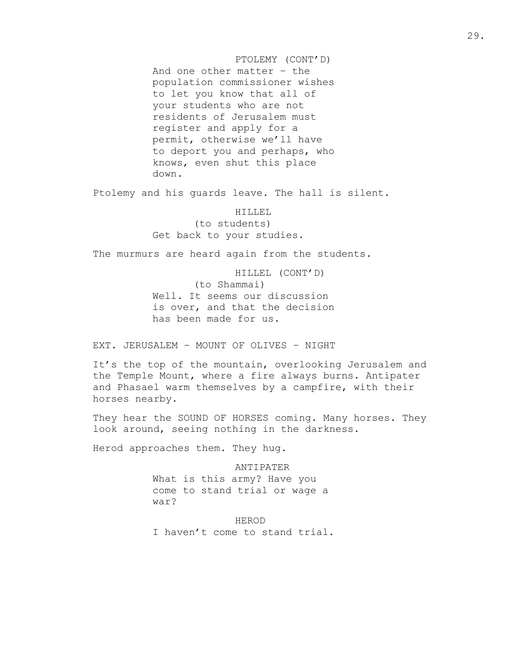PTOLEMY (CONT'D) And one other matter – the population commissioner wishes to let you know that all of your students who are not residents of Jerusalem must register and apply for a permit, otherwise we'll have to deport you and perhaps, who knows, even shut this place down.

Ptolemy and his guards leave. The hall is silent.

HILLEL (to students) Get back to your studies.

The murmurs are heard again from the students.

HILLEL (CONT'D) (to Shammai) Well. It seems our discussion is over, and that the decision has been made for us.

EXT. JERUSALEM – MOUNT OF OLIVES – NIGHT

It's the top of the mountain, overlooking Jerusalem and the Temple Mount, where a fire always burns. Antipater and Phasael warm themselves by a campfire, with their horses nearby.

They hear the SOUND OF HORSES coming. Many horses. They look around, seeing nothing in the darkness.

Herod approaches them. They hug.

ANTIPATER What is this army? Have you come to stand trial or wage a war?

HEROD I haven't come to stand trial.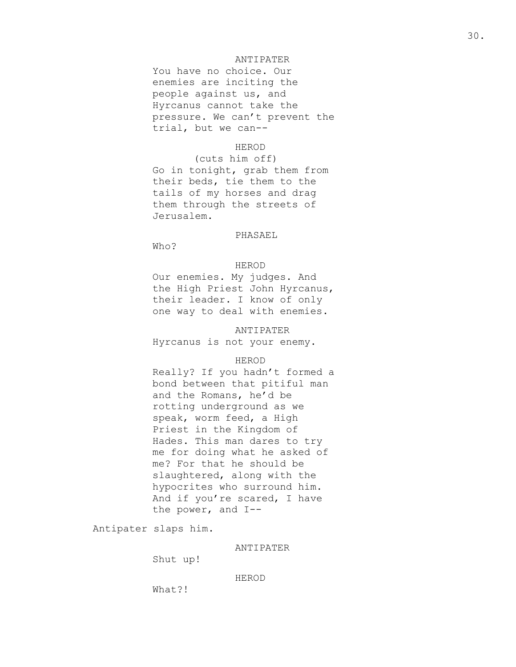You have no choice. Our enemies are inciting the people against us, and Hyrcanus cannot take the pressure. We can't prevent the trial, but we can--

# HEROD

(cuts him off) Go in tonight, grab them from their beds, tie them to the tails of my horses and drag them through the streets of Jerusalem.

# PHASAEL

Who?

# HEROD

Our enemies. My judges. And the High Priest John Hyrcanus, their leader. I know of only one way to deal with enemies.

#### ANTIPATER

Hyrcanus is not your enemy.

# HEROD

Really? If you hadn't formed a bond between that pitiful man and the Romans, he'd be rotting underground as we speak, worm feed, a High Priest in the Kingdom of Hades. This man dares to try me for doing what he asked of me? For that he should be slaughtered, along with the hypocrites who surround him. And if you're scared, I have the power, and I--

Antipater slaps him.

# ANTIPATER

Shut up!

#### HEROD

What?!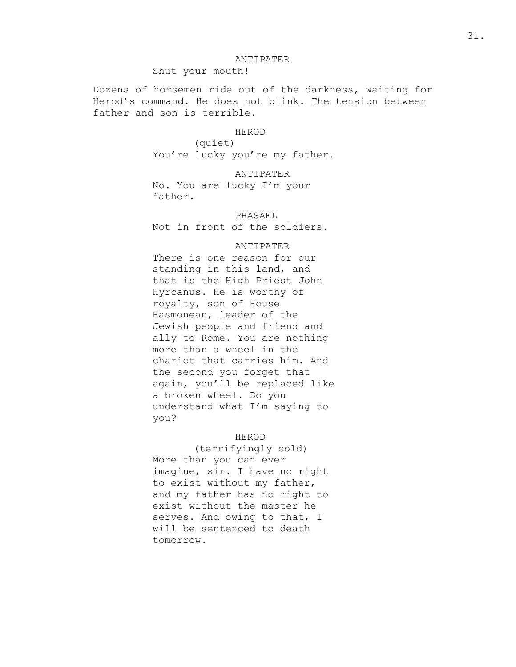Shut your mouth!

Dozens of horsemen ride out of the darkness, waiting for Herod's command. He does not blink. The tension between father and son is terrible.

#### HEROD

(quiet) You're lucky you're my father.

ANTIPATER No. You are lucky I'm your father.

PHASAEL

Not in front of the soldiers.

# ANTIPATER

There is one reason for our standing in this land, and that is the High Priest John Hyrcanus. He is worthy of royalty, son of House Hasmonean, leader of the Jewish people and friend and ally to Rome. You are nothing more than a wheel in the chariot that carries him. And the second you forget that again, you'll be replaced like a broken wheel. Do you understand what I'm saying to you?

# HEROD

(terrifyingly cold) More than you can ever imagine, sir. I have no right to exist without my father, and my father has no right to exist without the master he serves. And owing to that, I will be sentenced to death tomorrow.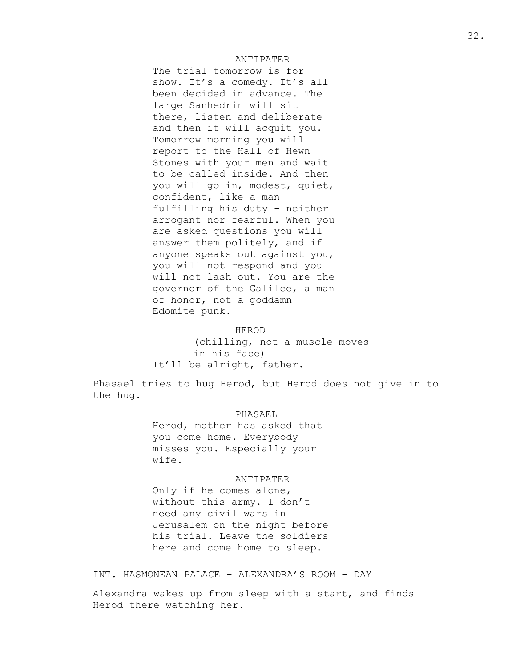The trial tomorrow is for show. It's a comedy. It's all been decided in advance. The large Sanhedrin will sit there, listen and deliberate – and then it will acquit you. Tomorrow morning you will report to the Hall of Hewn Stones with your men and wait to be called inside. And then you will go in, modest, quiet, confident, like a man fulfilling his duty – neither arrogant nor fearful. When you are asked questions you will answer them politely, and if anyone speaks out against you, you will not respond and you will not lash out. You are the governor of the Galilee, a man of honor, not a goddamn Edomite punk.

#### HEROD

(chilling, not a muscle moves in his face) It'll be alright, father.

Phasael tries to hug Herod, but Herod does not give in to the hug.

## PHASAEL

Herod, mother has asked that you come home. Everybody misses you. Especially your wife.

## ANTIPATER

Only if he comes alone, without this army. I don't need any civil wars in Jerusalem on the night before his trial. Leave the soldiers here and come home to sleep.

INT. HASMONEAN PALACE – ALEXANDRA'S ROOM – DAY

Alexandra wakes up from sleep with a start, and finds Herod there watching her.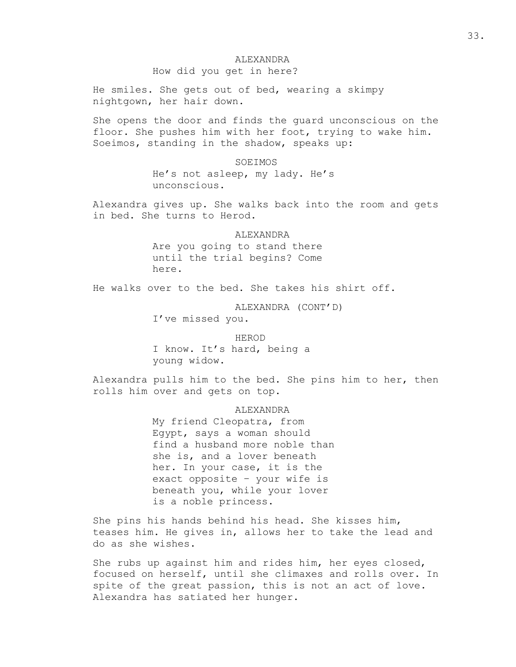## ALEXANDRA

How did you get in here?

He smiles. She gets out of bed, wearing a skimpy nightgown, her hair down.

She opens the door and finds the guard unconscious on the floor. She pushes him with her foot, trying to wake him. Soeimos, standing in the shadow, speaks up:

> SOEIMOS He's not asleep, my lady. He's unconscious.

Alexandra gives up. She walks back into the room and gets in bed. She turns to Herod.

> ALEXANDRA Are you going to stand there until the trial begins? Come here.

He walks over to the bed. She takes his shirt off.

ALEXANDRA (CONT'D)

I've missed you.

#### HEROD

I know. It's hard, being a young widow.

Alexandra pulls him to the bed. She pins him to her, then rolls him over and gets on top.

**ALEXANDRA** 

My friend Cleopatra, from Egypt, says a woman should find a husband more noble than she is, and a lover beneath her. In your case, it is the exact opposite – your wife is beneath you, while your lover is a noble princess.

She pins his hands behind his head. She kisses him, teases him. He gives in, allows her to take the lead and do as she wishes.

She rubs up against him and rides him, her eyes closed, focused on herself, until she climaxes and rolls over. In spite of the great passion, this is not an act of love. Alexandra has satiated her hunger.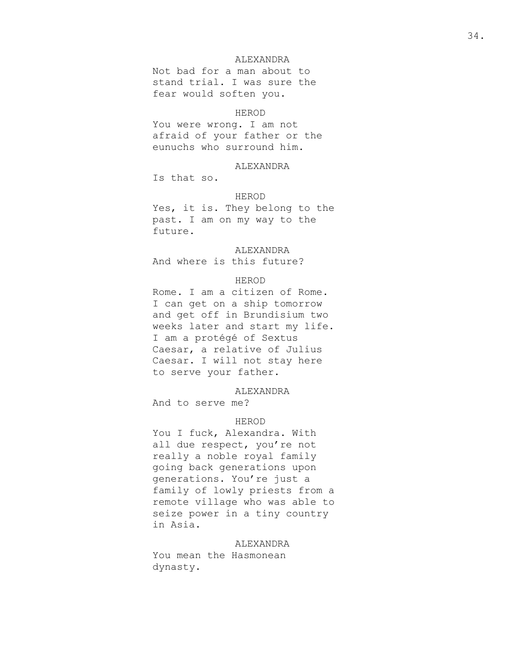# ALEXANDRA

Not bad for a man about to stand trial. I was sure the fear would soften you.

#### HEROD

You were wrong. I am not afraid of your father or the eunuchs who surround him.

# ALEXANDRA

Is that so.

## HEROD

Yes, it is. They belong to the past. I am on my way to the future.

## ALEXANDRA

And where is this future?

## HEROD

Rome. I am a citizen of Rome. I can get on a ship tomorrow and get off in Brundisium two weeks later and start my life. I am a protégé of Sextus Caesar, a relative of Julius Caesar. I will not stay here to serve your father.

#### ALEXANDRA

And to serve me?

#### HEROD

You I fuck, Alexandra. With all due respect, you're not really a noble royal family going back generations upon generations. You're just a family of lowly priests from a remote village who was able to seize power in a tiny country in Asia.

#### ALEXANDRA

You mean the Hasmonean dynasty.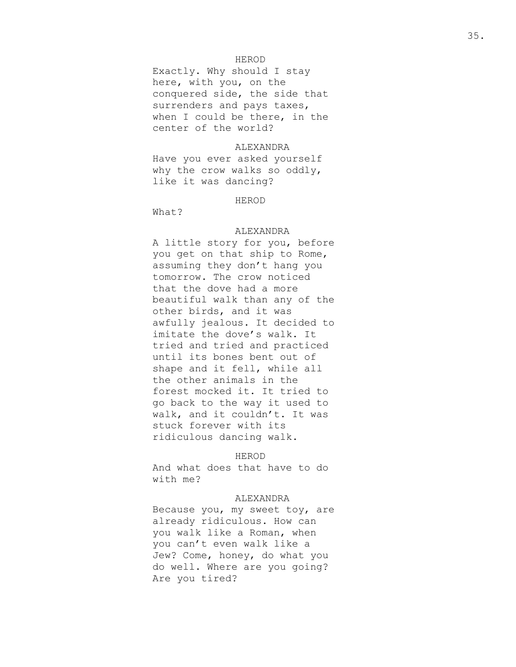# HEROD

Exactly. Why should I stay here, with you, on the conquered side, the side that surrenders and pays taxes, when I could be there, in the center of the world?

# **ALEXANDRA**

Have you ever asked yourself why the crow walks so oddly, like it was dancing?

#### HEROD

What?

## ALEXANDRA

A little story for you, before you get on that ship to Rome, assuming they don't hang you tomorrow. The crow noticed that the dove had a more beautiful walk than any of the other birds, and it was awfully jealous. It decided to imitate the dove's walk. It tried and tried and practiced until its bones bent out of shape and it fell, while all the other animals in the forest mocked it. It tried to go back to the way it used to walk, and it couldn't. It was stuck forever with its ridiculous dancing walk.

#### HEROD

And what does that have to do with me?

#### ALEXANDRA

Because you, my sweet toy, are already ridiculous. How can you walk like a Roman, when you can't even walk like a Jew? Come, honey, do what you do well. Where are you going? Are you tired?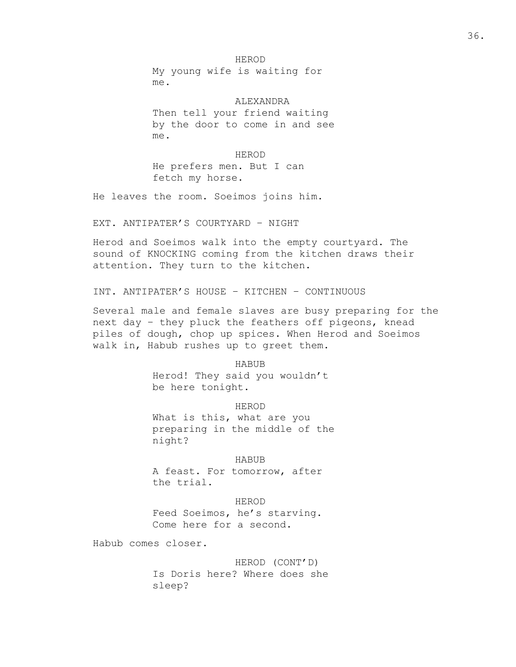HEROD My young wife is waiting for me.

ALEXANDRA Then tell your friend waiting by the door to come in and see me.

#### HEROD

He prefers men. But I can fetch my horse.

He leaves the room. Soeimos joins him.

EXT. ANTIPATER'S COURTYARD – NIGHT

Herod and Soeimos walk into the empty courtyard. The sound of KNOCKING coming from the kitchen draws their attention. They turn to the kitchen.

INT. ANTIPATER'S HOUSE – KITCHEN – CONTINUOUS

Several male and female slaves are busy preparing for the next day – they pluck the feathers off pigeons, knead piles of dough, chop up spices. When Herod and Soeimos walk in, Habub rushes up to greet them.

> HABUB Herod! They said you wouldn't be here tonight.

HEROD What is this, what are you preparing in the middle of the night?

#### HABUB

A feast. For tomorrow, after the trial.

## HEROD

Feed Soeimos, he's starving. Come here for a second.

Habub comes closer.

HEROD (CONT'D) Is Doris here? Where does she sleep?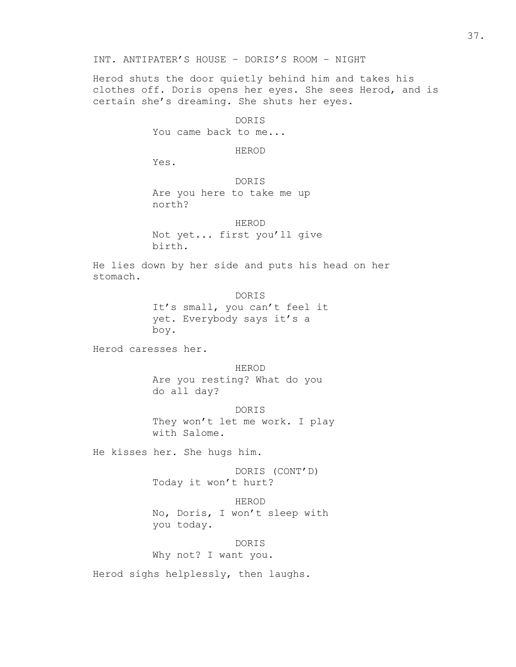INT. ANTIPATER'S HOUSE – DORIS'S ROOM – NIGHT

Herod shuts the door quietly behind him and takes his clothes off. Doris opens her eyes. She sees Herod, and is certain she's dreaming. She shuts her eyes.

> DORIS You came back to me...

> > HEROD

Yes.

DORIS Are you here to take me up north?

HEROD Not yet... first you'll give birth.

He lies down by her side and puts his head on her stomach.

> DORIS It's small, you can't feel it yet. Everybody says it's a boy.

Herod caresses her.

HEROD Are you resting? What do you do all day?

DORIS They won't let me work. I play with Salome.

He kisses her. She hugs him.

you today.

DORIS (CONT'D) Today it won't hurt?

HEROD No, Doris, I won't sleep with

DORIS

Why not? I want you.

Herod sighs helplessly, then laughs.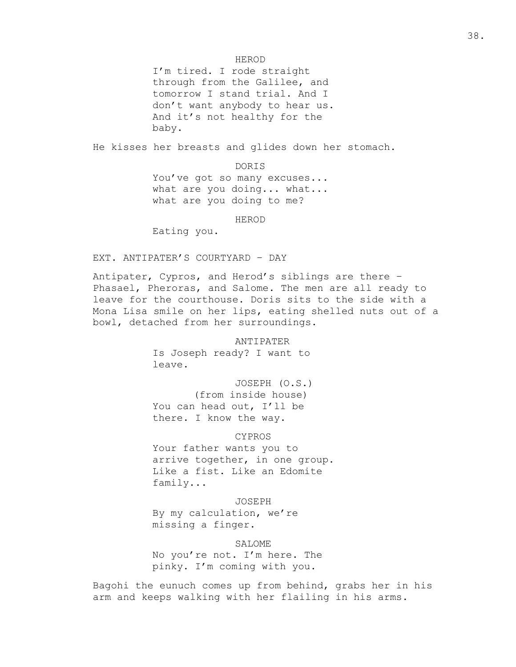## HEROD

I'm tired. I rode straight through from the Galilee, and tomorrow I stand trial. And I don't want anybody to hear us. And it's not healthy for the baby.

He kisses her breasts and glides down her stomach.

DORIS

You've got so many excuses... what are you doing... what... what are you doing to me?

HEROD

Eating you.

EXT. ANTIPATER'S COURTYARD – DAY

Antipater, Cypros, and Herod's siblings are there – Phasael, Pheroras, and Salome. The men are all ready to leave for the courthouse. Doris sits to the side with a Mona Lisa smile on her lips, eating shelled nuts out of a bowl, detached from her surroundings.

ANTIPATER

Is Joseph ready? I want to leave.

JOSEPH (O.S.) (from inside house) You can head out, I'll be there. I know the way.

CYPROS

Your father wants you to arrive together, in one group. Like a fist. Like an Edomite family...

JOSEPH

By my calculation, we're missing a finger.

SALOME

No you're not. I'm here. The pinky. I'm coming with you.

Bagohi the eunuch comes up from behind, grabs her in his arm and keeps walking with her flailing in his arms.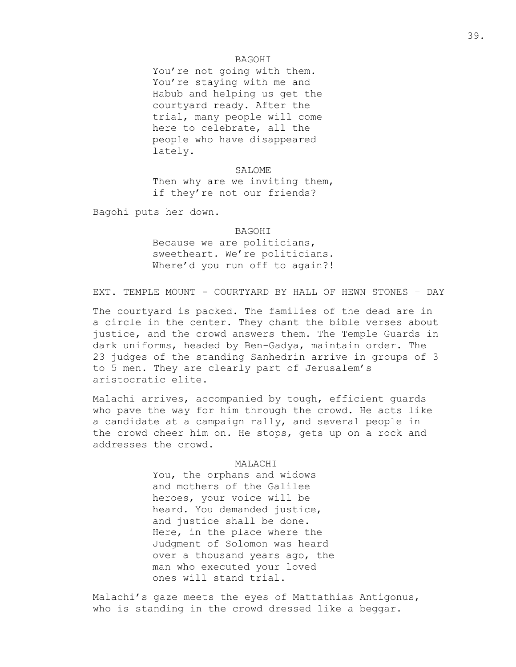# BAGOHI

You're not going with them. You're staying with me and Habub and helping us get the courtyard ready. After the trial, many people will come here to celebrate, all the people who have disappeared lately.

SALOME Then why are we inviting them, if they're not our friends?

Bagohi puts her down.

#### BAGOHI

Because we are politicians, sweetheart. We're politicians. Where'd you run off to again?!

EXT. TEMPLE MOUNT - COURTYARD BY HALL OF HEWN STONES – DAY

The courtyard is packed. The families of the dead are in a circle in the center. They chant the bible verses about justice, and the crowd answers them. The Temple Guards in dark uniforms, headed by Ben-Gadya, maintain order. The 23 judges of the standing Sanhedrin arrive in groups of 3 to 5 men. They are clearly part of Jerusalem's aristocratic elite.

Malachi arrives, accompanied by tough, efficient guards who pave the way for him through the crowd. He acts like a candidate at a campaign rally, and several people in the crowd cheer him on. He stops, gets up on a rock and addresses the crowd.

# MALACHI

You, the orphans and widows and mothers of the Galilee heroes, your voice will be heard. You demanded justice, and justice shall be done. Here, in the place where the Judgment of Solomon was heard over a thousand years ago, the man who executed your loved ones will stand trial.

Malachi's gaze meets the eyes of Mattathias Antigonus, who is standing in the crowd dressed like a beggar.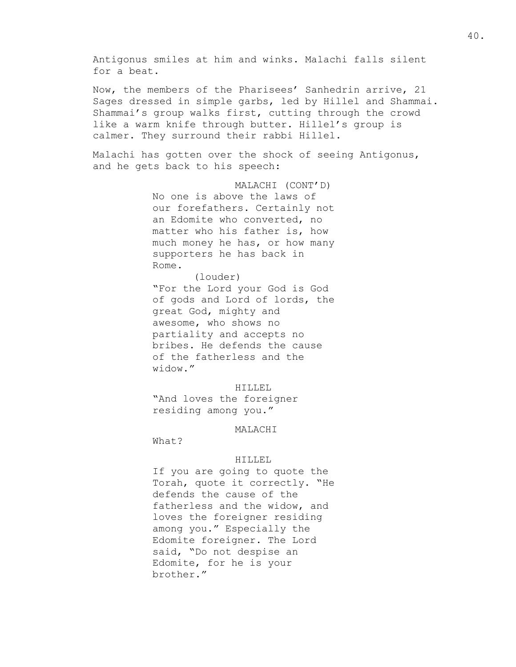Antigonus smiles at him and winks. Malachi falls silent for a beat. Now, the members of the Pharisees' Sanhedrin arrive, 21 Sages dressed in simple garbs, led by Hillel and Shammai. Shammai's group walks first, cutting through the crowd like a warm knife through butter. Hillel's group is calmer. They surround their rabbi Hillel. Malachi has gotten over the shock of seeing Antigonus, and he gets back to his speech: MALACHI (CONT'D) No one is above the laws of our forefathers. Certainly not an Edomite who converted, no matter who his father is, how much money he has, or how many supporters he has back in Rome. (louder) "For the Lord your God is God of gods and Lord of lords, the great God, mighty and

awesome, who shows no partiality and accepts no bribes. He defends the cause of the fatherless and the widow."

#### HILLEL

"And loves the foreigner residing among you."

# MALACHI

What?

## HILLEL

If you are going to quote the Torah, quote it correctly. "He defends the cause of the fatherless and the widow, and loves the foreigner residing among you." Especially the Edomite foreigner. The Lord said, "Do not despise an Edomite, for he is your brother."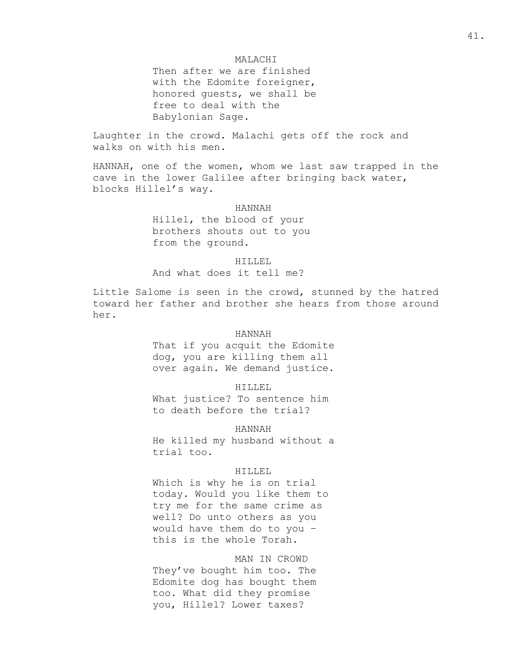# MALACHI

Then after we are finished with the Edomite foreigner, honored guests, we shall be free to deal with the Babylonian Sage.

Laughter in the crowd. Malachi gets off the rock and walks on with his men.

HANNAH, one of the women, whom we last saw trapped in the cave in the lower Galilee after bringing back water, blocks Hillel's way.

#### HANNAH

Hillel, the blood of your brothers shouts out to you from the ground.

#### HILLEL

And what does it tell me?

Little Salome is seen in the crowd, stunned by the hatred toward her father and brother she hears from those around her.

# HANNAH

That if you acquit the Edomite dog, you are killing them all over again. We demand justice.

#### HILLEL

What justice? To sentence him to death before the trial?

#### HANNAH

He killed my husband without a trial too.

# HILLEL

Which is why he is on trial today. Would you like them to try me for the same crime as well? Do unto others as you would have them do to you – this is the whole Torah.

MAN IN CROWD They've bought him too. The Edomite dog has bought them too. What did they promise you, Hillel? Lower taxes?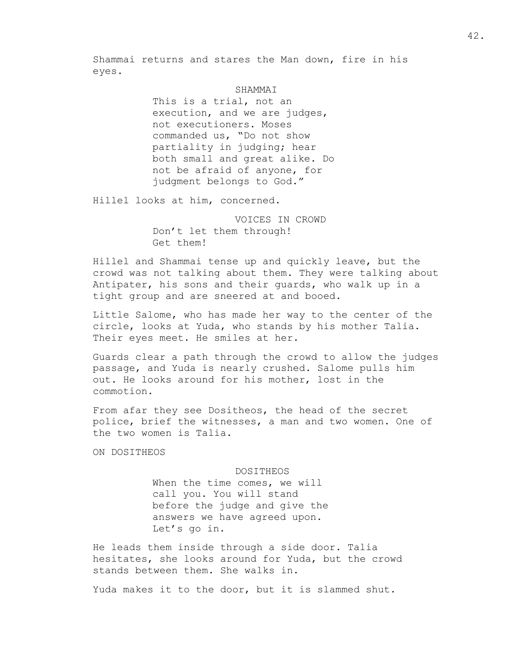Shammai returns and stares the Man down, fire in his eyes.

#### **SHAMMAT**

This is a trial, not an execution, and we are judges, not executioners. Moses commanded us, "Do not show partiality in judging; hear both small and great alike. Do not be afraid of anyone, for judgment belongs to God."

Hillel looks at him, concerned.

VOICES IN CROWD Don't let them through! Get them!

Hillel and Shammai tense up and quickly leave, but the crowd was not talking about them. They were talking about Antipater, his sons and their guards, who walk up in a tight group and are sneered at and booed.

Little Salome, who has made her way to the center of the circle, looks at Yuda, who stands by his mother Talia. Their eyes meet. He smiles at her.

Guards clear a path through the crowd to allow the judges passage, and Yuda is nearly crushed. Salome pulls him out. He looks around for his mother, lost in the commotion.

From afar they see Dositheos, the head of the secret police, brief the witnesses, a man and two women. One of the two women is Talia.

ON DOSITHEOS

#### DOSITHEOS

When the time comes, we will call you. You will stand before the judge and give the answers we have agreed upon. Let's go in.

He leads them inside through a side door. Talia hesitates, she looks around for Yuda, but the crowd stands between them. She walks in.

Yuda makes it to the door, but it is slammed shut.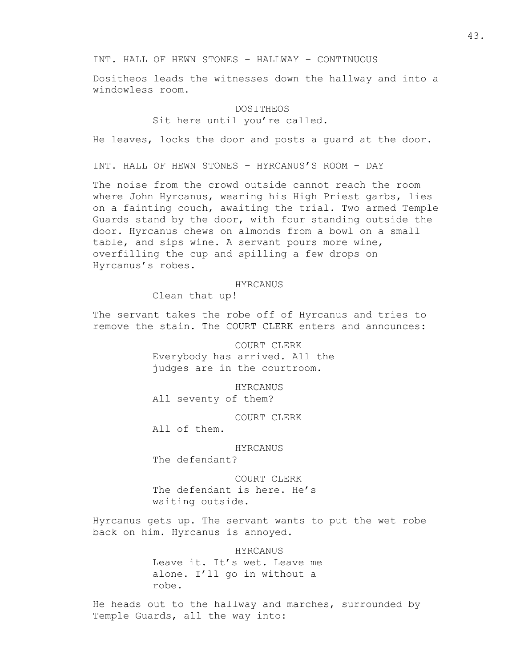INT. HALL OF HEWN STONES – HALLWAY – CONTINUOUS

Dositheos leads the witnesses down the hallway and into a windowless room.

#### DOSITHEOS

Sit here until you're called.

He leaves, locks the door and posts a guard at the door.

INT. HALL OF HEWN STONES – HYRCANUS'S ROOM – DAY

The noise from the crowd outside cannot reach the room where John Hyrcanus, wearing his High Priest garbs, lies on a fainting couch, awaiting the trial. Two armed Temple Guards stand by the door, with four standing outside the door. Hyrcanus chews on almonds from a bowl on a small table, and sips wine. A servant pours more wine, overfilling the cup and spilling a few drops on Hyrcanus's robes.

#### HYRCANUS

Clean that up!

The servant takes the robe off of Hyrcanus and tries to remove the stain. The COURT CLERK enters and announces:

> COURT CLERK Everybody has arrived. All the judges are in the courtroom.

HYRCANUS All seventy of them?

COURT CLERK

All of them.

HYRCANUS

The defendant?

COURT CLERK The defendant is here. He's waiting outside.

Hyrcanus gets up. The servant wants to put the wet robe back on him. Hyrcanus is annoyed.

> HYRCANUS Leave it. It's wet. Leave me alone. I'll go in without a

robe.

He heads out to the hallway and marches, surrounded by Temple Guards, all the way into: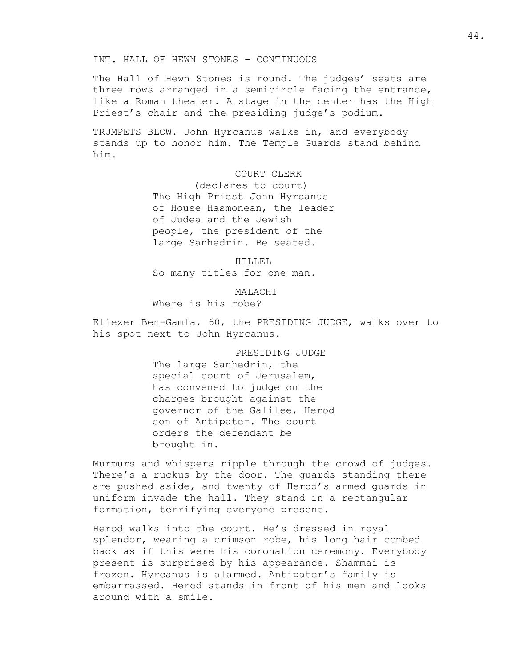INT. HALL OF HEWN STONES – CONTINUOUS

The Hall of Hewn Stones is round. The judges' seats are three rows arranged in a semicircle facing the entrance, like a Roman theater. A stage in the center has the High Priest's chair and the presiding judge's podium.

TRUMPETS BLOW. John Hyrcanus walks in, and everybody stands up to honor him. The Temple Guards stand behind him.

COURT CLERK

(declares to court) The High Priest John Hyrcanus of House Hasmonean, the leader of Judea and the Jewish people, the president of the large Sanhedrin. Be seated.

HILLEL

So many titles for one man.

MALACHI

Where is his robe?

Eliezer Ben-Gamla, 60, the PRESIDING JUDGE, walks over to his spot next to John Hyrcanus.

> PRESIDING JUDGE The large Sanhedrin, the special court of Jerusalem, has convened to judge on the charges brought against the governor of the Galilee, Herod son of Antipater. The court orders the defendant be brought in.

Murmurs and whispers ripple through the crowd of judges. There's a ruckus by the door. The guards standing there are pushed aside, and twenty of Herod's armed guards in uniform invade the hall. They stand in a rectangular formation, terrifying everyone present.

Herod walks into the court. He's dressed in royal splendor, wearing a crimson robe, his long hair combed back as if this were his coronation ceremony. Everybody present is surprised by his appearance. Shammai is frozen. Hyrcanus is alarmed. Antipater's family is embarrassed. Herod stands in front of his men and looks around with a smile.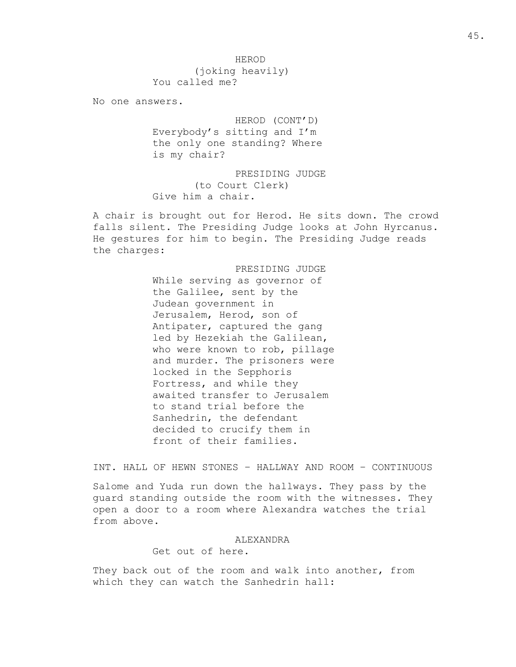No one answers.

HEROD (CONT'D) Everybody's sitting and I'm the only one standing? Where is my chair?

PRESIDING JUDGE (to Court Clerk) Give him a chair.

A chair is brought out for Herod. He sits down. The crowd falls silent. The Presiding Judge looks at John Hyrcanus. He gestures for him to begin. The Presiding Judge reads the charges:

> PRESIDING JUDGE While serving as governor of the Galilee, sent by the Judean government in Jerusalem, Herod, son of Antipater, captured the gang led by Hezekiah the Galilean, who were known to rob, pillage and murder. The prisoners were locked in the Sepphoris Fortress, and while they awaited transfer to Jerusalem to stand trial before the Sanhedrin, the defendant decided to crucify them in front of their families.

INT. HALL OF HEWN STONES – HALLWAY AND ROOM – CONTINUOUS

Salome and Yuda run down the hallways. They pass by the guard standing outside the room with the witnesses. They open a door to a room where Alexandra watches the trial from above.

#### ALEXANDRA

Get out of here.

They back out of the room and walk into another, from which they can watch the Sanhedrin hall: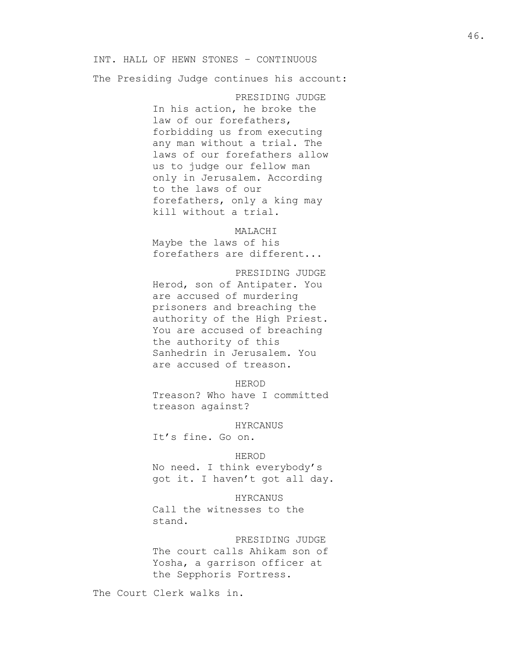## INT. HALL OF HEWN STONES – CONTINUOUS

The Presiding Judge continues his account:

PRESIDING JUDGE In his action, he broke the law of our forefathers, forbidding us from executing any man without a trial. The laws of our forefathers allow us to judge our fellow man only in Jerusalem. According to the laws of our forefathers, only a king may kill without a trial.

## MALACHI

Maybe the laws of his forefathers are different...

#### PRESIDING JUDGE

Herod, son of Antipater. You are accused of murdering prisoners and breaching the authority of the High Priest. You are accused of breaching the authority of this Sanhedrin in Jerusalem. You are accused of treason.

# HEROD

Treason? Who have I committed treason against?

#### HYRCANUS

It's fine. Go on.

## HEROD

No need. I think everybody's got it. I haven't got all day.

HYRCANUS Call the witnesses to the stand.

PRESIDING JUDGE The court calls Ahikam son of Yosha, a garrison officer at the Sepphoris Fortress.

The Court Clerk walks in.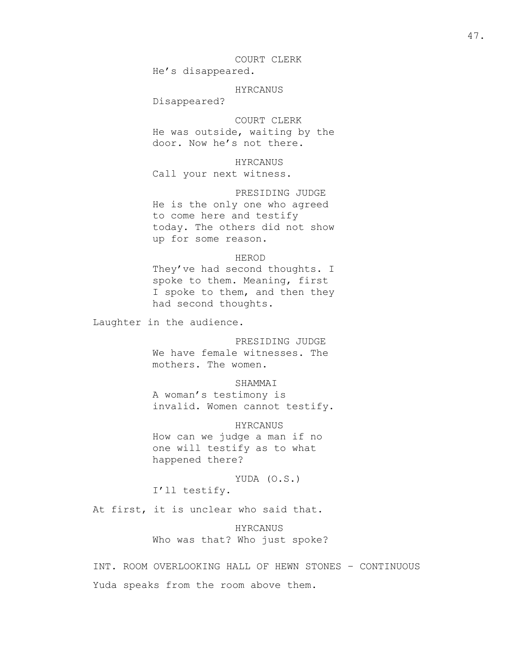COURT CLERK He's disappeared.

HYRCANUS

Disappeared?

COURT CLERK He was outside, waiting by the door. Now he's not there.

HYRCANUS Call your next witness.

PRESIDING JUDGE He is the only one who agreed to come here and testify today. The others did not show up for some reason.

#### HEROD

They've had second thoughts. I spoke to them. Meaning, first I spoke to them, and then they had second thoughts.

Laughter in the audience.

PRESIDING JUDGE

We have female witnesses. The mothers. The women.

#### SHAMMAI

A woman's testimony is invalid. Women cannot testify.

HYRCANUS How can we judge a man if no one will testify as to what happened there?

YUDA (O.S.) I'll testify.

At first, it is unclear who said that.

HYRCANUS Who was that? Who just spoke?

INT. ROOM OVERLOOKING HALL OF HEWN STONES – CONTINUOUS Yuda speaks from the room above them.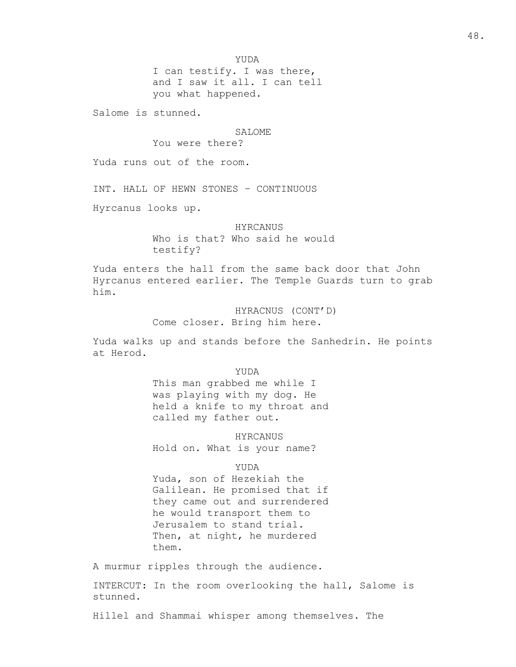I can testify. I was there, and I saw it all. I can tell you what happened.

Salome is stunned.

#### SALOME.

You were there?

Yuda runs out of the room.

INT. HALL OF HEWN STONES – CONTINUOUS

Hyrcanus looks up.

HYRCANUS Who is that? Who said he would testify?

Yuda enters the hall from the same back door that John Hyrcanus entered earlier. The Temple Guards turn to grab him.

> HYRACNUS (CONT'D) Come closer. Bring him here.

Yuda walks up and stands before the Sanhedrin. He points at Herod.

YUDA

This man grabbed me while I was playing with my dog. He held a knife to my throat and called my father out.

HYRCANUS Hold on. What is your name?

YUDA

Yuda, son of Hezekiah the Galilean. He promised that if they came out and surrendered he would transport them to Jerusalem to stand trial. Then, at night, he murdered them.

A murmur ripples through the audience.

INTERCUT: In the room overlooking the hall, Salome is stunned.

Hillel and Shammai whisper among themselves. The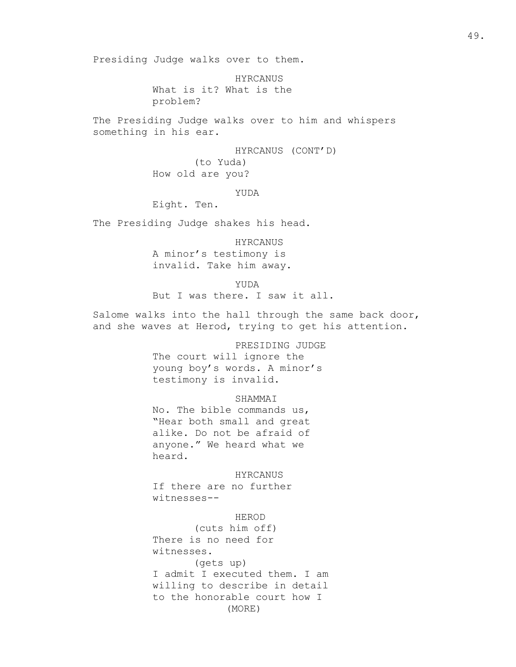Presiding Judge walks over to them.

HYRCANUS What is it? What is the problem?

The Presiding Judge walks over to him and whispers something in his ear.

> HYRCANUS (CONT'D) (to Yuda) How old are you?

> > YUDA

Eight. Ten.

The Presiding Judge shakes his head.

HYRCANUS A minor's testimony is invalid. Take him away.

YUDA But I was there. I saw it all.

Salome walks into the hall through the same back door, and she waves at Herod, trying to get his attention.

PRESIDING JUDGE

The court will ignore the young boy's words. A minor's testimony is invalid.

SHAMMAI

No. The bible commands us, "Hear both small and great alike. Do not be afraid of anyone." We heard what we heard.

HYRCANUS If there are no further

witnesses--

HEROD (cuts him off) There is no need for witnesses. (gets up) I admit I executed them. I am willing to describe in detail to the honorable court how I (MORE)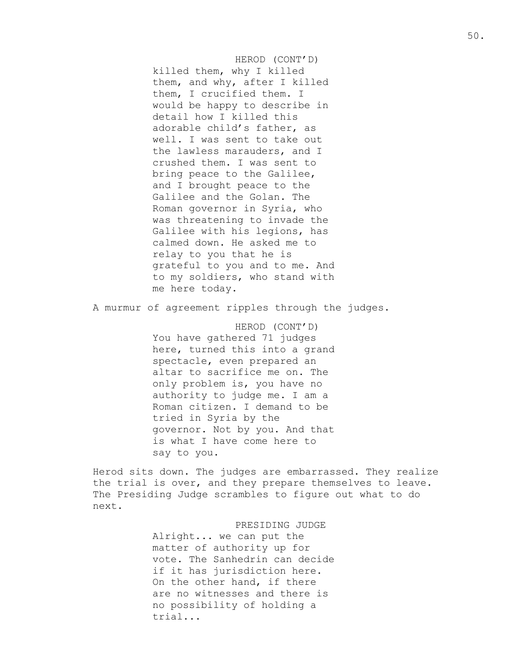HEROD (CONT'D) killed them, why I killed them, and why, after I killed them, I crucified them. I would be happy to describe in detail how I killed this adorable child's father, as well. I was sent to take out the lawless marauders, and I crushed them. I was sent to bring peace to the Galilee, and I brought peace to the Galilee and the Golan. The Roman governor in Syria, who was threatening to invade the Galilee with his legions, has calmed down. He asked me to relay to you that he is grateful to you and to me. And to my soldiers, who stand with me here today.

A murmur of agreement ripples through the judges.

HEROD (CONT'D) You have gathered 71 judges here, turned this into a grand spectacle, even prepared an altar to sacrifice me on. The only problem is, you have no authority to judge me. I am a Roman citizen. I demand to be tried in Syria by the governor. Not by you. And that is what I have come here to say to you.

Herod sits down. The judges are embarrassed. They realize the trial is over, and they prepare themselves to leave. The Presiding Judge scrambles to figure out what to do next.

PRESIDING JUDGE

Alright... we can put the matter of authority up for vote. The Sanhedrin can decide if it has jurisdiction here. On the other hand, if there are no witnesses and there is no possibility of holding a trial...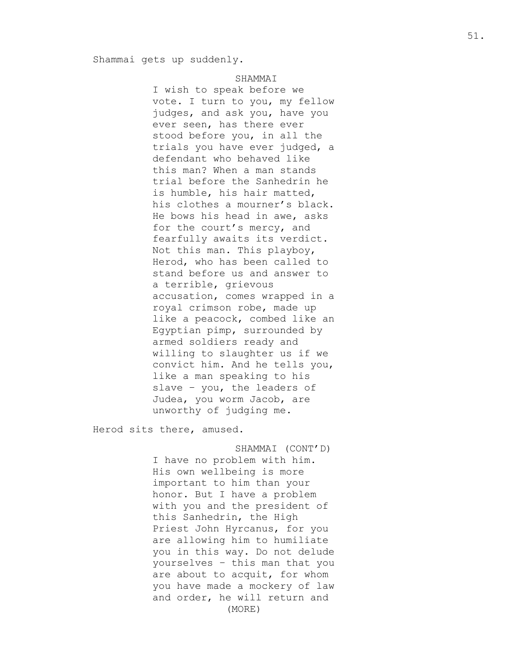# **SHAMMAT**

I wish to speak before we vote. I turn to you, my fellow judges, and ask you, have you ever seen, has there ever stood before you, in all the trials you have ever judged, a defendant who behaved like this man? When a man stands trial before the Sanhedrin he is humble, his hair matted, his clothes a mourner's black. He bows his head in awe, asks for the court's mercy, and fearfully awaits its verdict. Not this man. This playboy, Herod, who has been called to stand before us and answer to a terrible, grievous accusation, comes wrapped in a royal crimson robe, made up like a peacock, combed like an Egyptian pimp, surrounded by armed soldiers ready and willing to slaughter us if we convict him. And he tells you, like a man speaking to his slave - you, the leaders of Judea, you worm Jacob, are unworthy of judging me.

Herod sits there, amused.

SHAMMAI (CONT'D) I have no problem with him. His own wellbeing is more important to him than your honor. But I have a problem with you and the president of this Sanhedrin, the High Priest John Hyrcanus, for you are allowing him to humiliate you in this way. Do not delude yourselves – this man that you are about to acquit, for whom you have made a mockery of law and order, he will return and (MORE)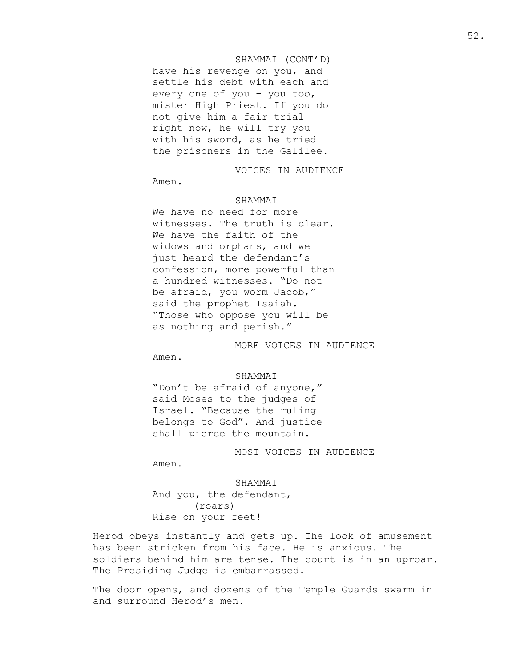# SHAMMAI (CONT'D)

have his revenge on you, and settle his debt with each and every one of you – you too, mister High Priest. If you do not give him a fair trial right now, he will try you with his sword, as he tried the prisoners in the Galilee.

VOICES IN AUDIENCE

Amen.

# SHAMMAI

We have no need for more witnesses. The truth is clear. We have the faith of the widows and orphans, and we just heard the defendant's confession, more powerful than a hundred witnesses. "Do not be afraid, you worm Jacob," said the prophet Isaiah. "Those who oppose you will be as nothing and perish."

MORE VOICES IN AUDIENCE

Amen.

#### SHAMMAI

"Don't be afraid of anyone," said Moses to the judges of Israel. "Because the ruling belongs to God". And justice shall pierce the mountain.

MOST VOICES IN AUDIENCE

Amen.

SHAMMAI

And you, the defendant, (roars) Rise on your feet!

Herod obeys instantly and gets up. The look of amusement has been stricken from his face. He is anxious. The soldiers behind him are tense. The court is in an uproar. The Presiding Judge is embarrassed.

The door opens, and dozens of the Temple Guards swarm in and surround Herod's men.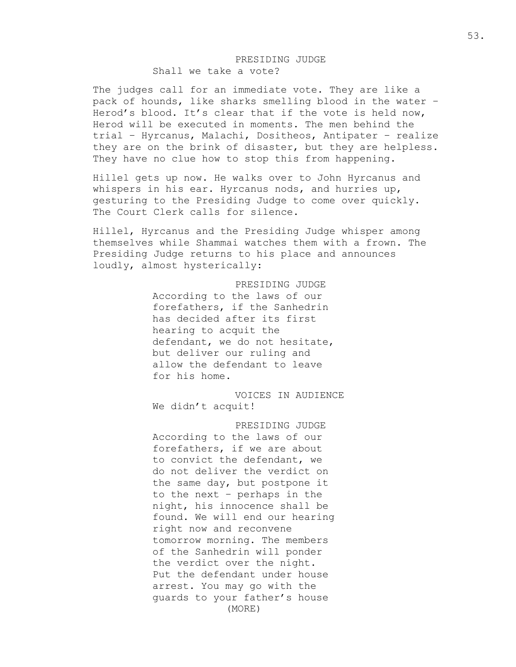# PRESIDING JUDGE Shall we take a vote?

The judges call for an immediate vote. They are like a pack of hounds, like sharks smelling blood in the water – Herod's blood. It's clear that if the vote is held now, Herod will be executed in moments. The men behind the trial – Hyrcanus, Malachi, Dositheos, Antipater – realize they are on the brink of disaster, but they are helpless. They have no clue how to stop this from happening.

Hillel gets up now. He walks over to John Hyrcanus and whispers in his ear. Hyrcanus nods, and hurries up, gesturing to the Presiding Judge to come over quickly. The Court Clerk calls for silence.

Hillel, Hyrcanus and the Presiding Judge whisper among themselves while Shammai watches them with a frown. The Presiding Judge returns to his place and announces loudly, almost hysterically:

> PRESIDING JUDGE According to the laws of our forefathers, if the Sanhedrin has decided after its first hearing to acquit the defendant, we do not hesitate, but deliver our ruling and allow the defendant to leave for his home.

VOICES IN AUDIENCE We didn't acquit!

PRESIDING JUDGE According to the laws of our forefathers, if we are about to convict the defendant, we do not deliver the verdict on the same day, but postpone it to the next – perhaps in the night, his innocence shall be found. We will end our hearing right now and reconvene tomorrow morning. The members of the Sanhedrin will ponder the verdict over the night. Put the defendant under house arrest. You may go with the guards to your father's house (MORE)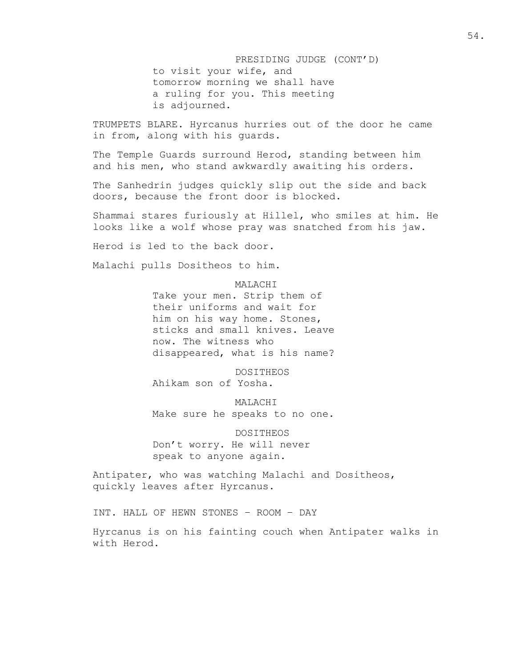PRESIDING JUDGE (CONT'D) to visit your wife, and tomorrow morning we shall have a ruling for you. This meeting is adjourned.

TRUMPETS BLARE. Hyrcanus hurries out of the door he came in from, along with his guards.

The Temple Guards surround Herod, standing between him and his men, who stand awkwardly awaiting his orders.

The Sanhedrin judges quickly slip out the side and back doors, because the front door is blocked.

Shammai stares furiously at Hillel, who smiles at him. He looks like a wolf whose pray was snatched from his jaw.

Herod is led to the back door.

Malachi pulls Dositheos to him.

#### MALACHI

Take your men. Strip them of their uniforms and wait for him on his way home. Stones, sticks and small knives. Leave now. The witness who disappeared, what is his name?

DOSITHEOS Ahikam son of Yosha.

MALACHI Make sure he speaks to no one.

DOSITHEOS Don't worry. He will never speak to anyone again.

Antipater, who was watching Malachi and Dositheos, quickly leaves after Hyrcanus.

INT. HALL OF HEWN STONES – ROOM – DAY

Hyrcanus is on his fainting couch when Antipater walks in with Herod.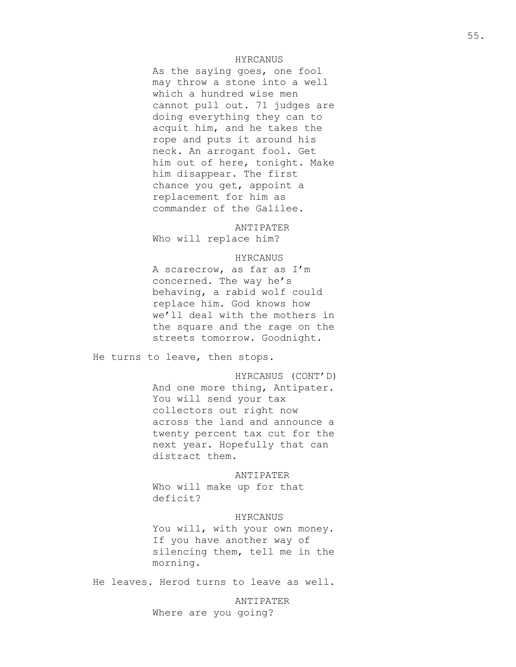## HYRCANUS

As the saying goes, one fool may throw a stone into a well which a hundred wise men cannot pull out. 71 judges are doing everything they can to acquit him, and he takes the rope and puts it around his neck. An arrogant fool. Get him out of here, tonight. Make him disappear. The first chance you get, appoint a replacement for him as commander of the Galilee.

ANTIPATER

Who will replace him?

## HYRCANUS

A scarecrow, as far as I'm concerned. The way he's behaving, a rabid wolf could replace him. God knows how we'll deal with the mothers in the square and the rage on the streets tomorrow. Goodnight.

He turns to leave, then stops.

HYRCANUS (CONT'D) And one more thing, Antipater. You will send your tax collectors out right now across the land and announce a twenty percent tax cut for the next year. Hopefully that can distract them.

ANTIPATER Who will make up for that deficit?

## HYRCANUS

You will, with your own money. If you have another way of silencing them, tell me in the morning.

He leaves. Herod turns to leave as well.

ANTIPATER Where are you going?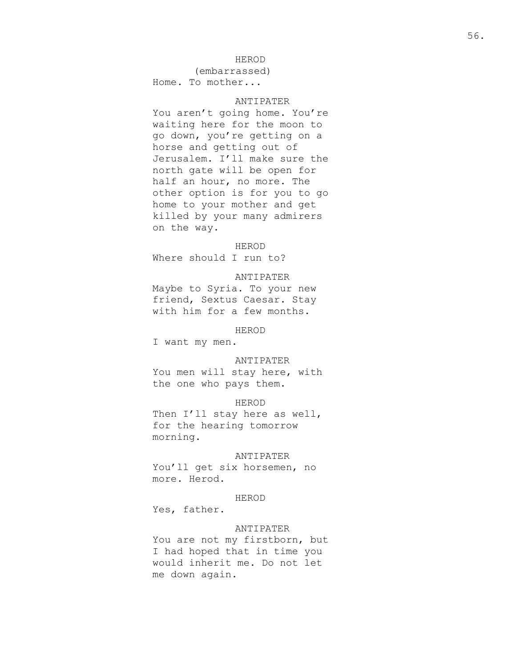## HEROD

(embarrassed) Home. To mother...

# ANTIPATER

You aren't going home. You're waiting here for the moon to go down, you're getting on a horse and getting out of Jerusalem. I'll make sure the north gate will be open for half an hour, no more. The other option is for you to go home to your mother and get killed by your many admirers on the way.

#### HEROD

Where should I run to?

#### ANTIPATER

Maybe to Syria. To your new friend, Sextus Caesar. Stay with him for a few months.

HEROD

I want my men.

#### ANTIPATER

You men will stay here, with the one who pays them.

# HEROD

Then I'll stay here as well, for the hearing tomorrow morning.

#### ANTIPATER

You'll get six horsemen, no more. Herod.

#### HEROD

Yes, father.

# ANTIPATER

You are not my firstborn, but I had hoped that in time you would inherit me. Do not let me down again.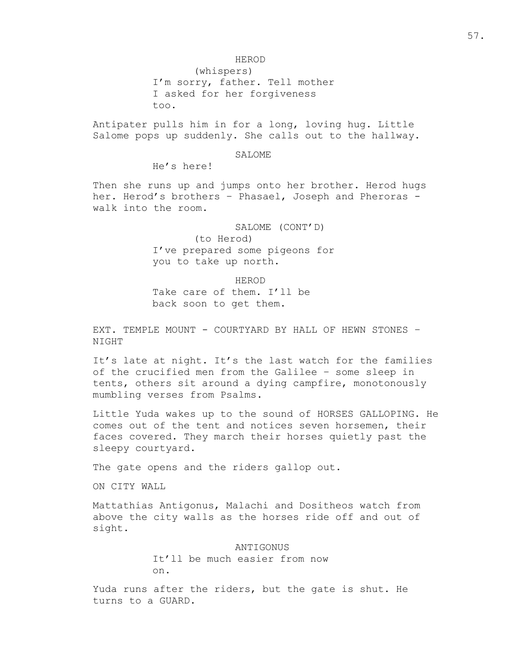HEROD

(whispers) I'm sorry, father. Tell mother I asked for her forgiveness too.

Antipater pulls him in for a long, loving hug. Little Salome pops up suddenly. She calls out to the hallway.

## SALOME

He's here!

Then she runs up and jumps onto her brother. Herod hugs her. Herod's brothers – Phasael, Joseph and Pheroras walk into the room.

> SALOME (CONT'D) (to Herod) I've prepared some pigeons for you to take up north.

HEROD Take care of them. I'll be back soon to get them.

EXT. TEMPLE MOUNT - COURTYARD BY HALL OF HEWN STONES -NIGHT

It's late at night. It's the last watch for the families of the crucified men from the Galilee – some sleep in tents, others sit around a dying campfire, monotonously mumbling verses from Psalms.

Little Yuda wakes up to the sound of HORSES GALLOPING. He comes out of the tent and notices seven horsemen, their faces covered. They march their horses quietly past the sleepy courtyard.

The gate opens and the riders gallop out.

ON CITY WALL

Mattathias Antigonus, Malachi and Dositheos watch from above the city walls as the horses ride off and out of sight.

> ANTIGONUS It'll be much easier from now on.

Yuda runs after the riders, but the gate is shut. He turns to a GUARD.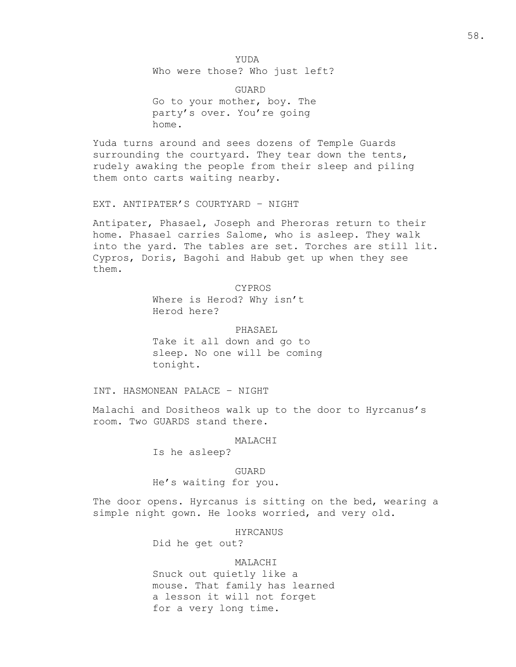YUDA Who were those? Who just left?

GUARD Go to your mother, boy. The party's over. You're going home.

Yuda turns around and sees dozens of Temple Guards surrounding the courtyard. They tear down the tents, rudely awaking the people from their sleep and piling them onto carts waiting nearby.

EXT. ANTIPATER'S COURTYARD – NIGHT

Antipater, Phasael, Joseph and Pheroras return to their home. Phasael carries Salome, who is asleep. They walk into the yard. The tables are set. Torches are still lit. Cypros, Doris, Bagohi and Habub get up when they see them.

CYPROS

Where is Herod? Why isn't Herod here?

PHASAEL Take it all down and go to sleep. No one will be coming tonight.

INT. HASMONEAN PALACE – NIGHT

Malachi and Dositheos walk up to the door to Hyrcanus's room. Two GUARDS stand there.

MALACHI

Is he asleep?

## GUARD

He's waiting for you.

The door opens. Hyrcanus is sitting on the bed, wearing a simple night gown. He looks worried, and very old.

HYRCANUS

Did he get out?

#### MALACHI

Snuck out quietly like a mouse. That family has learned a lesson it will not forget for a very long time.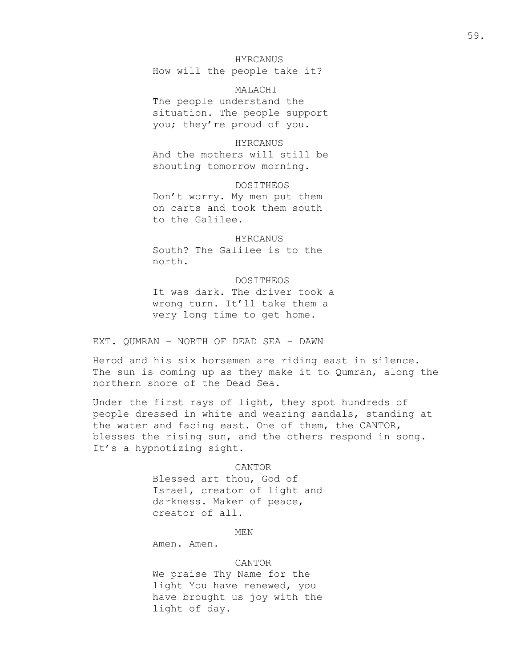# HYRCANUS

How will the people take it?

MALACHI The people understand the situation. The people support you; they're proud of you.

### HYRCANUS

And the mothers will still be shouting tomorrow morning.

DOSITHEOS Don't worry. My men put them on carts and took them south to the Galilee.

# **HYRCANUS**

South? The Galilee is to the north.

DOSITHEOS It was dark. The driver took a wrong turn. It'll take them a very long time to get home.

EXT. QUMRAN – NORTH OF DEAD SEA – DAWN

Herod and his six horsemen are riding east in silence. The sun is coming up as they make it to Qumran, along the northern shore of the Dead Sea.

Under the first rays of light, they spot hundreds of people dressed in white and wearing sandals, standing at the water and facing east. One of them, the CANTOR, blesses the rising sun, and the others respond in song. It's a hypnotizing sight.

#### CANTOR

Blessed art thou, God of Israel, creator of light and darkness. Maker of peace, creator of all.

MEN

Amen. Amen.

#### CANTOR

We praise Thy Name for the light You have renewed, you have brought us joy with the light of day.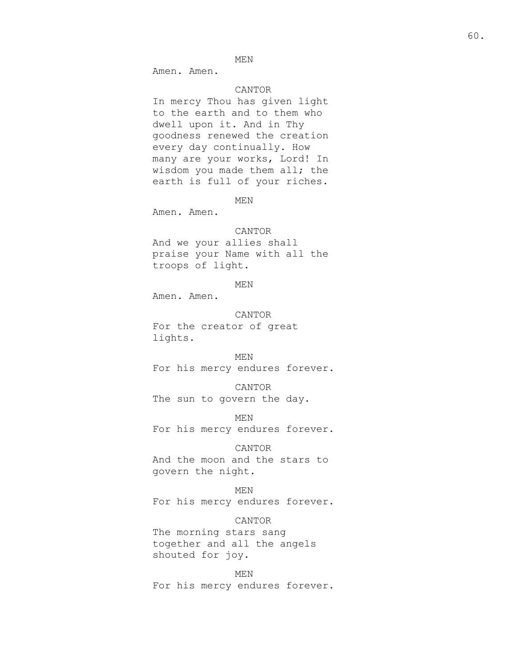MEN

Amen. Amen.

# CANTOR

In mercy Thou has given light to the earth and to them who dwell upon it. And in Thy goodness renewed the creation every day continually. How many are your works, Lord! In wisdom you made them all; the earth is full of your riches.

MEN

Amen. Amen.

#### CANTOR

And we your allies shall praise your Name with all the troops of light.

MEN

Amen. Amen.

#### CANTOR

For the creator of great lights.

# MEN

For his mercy endures forever.

#### CANTOR

The sun to govern the day.

MEN For his mercy endures forever.

#### CANTOR

And the moon and the stars to govern the night.

# MEN

For his mercy endures forever.

# CANTOR

The morning stars sang together and all the angels shouted for joy.

MEN For his mercy endures forever.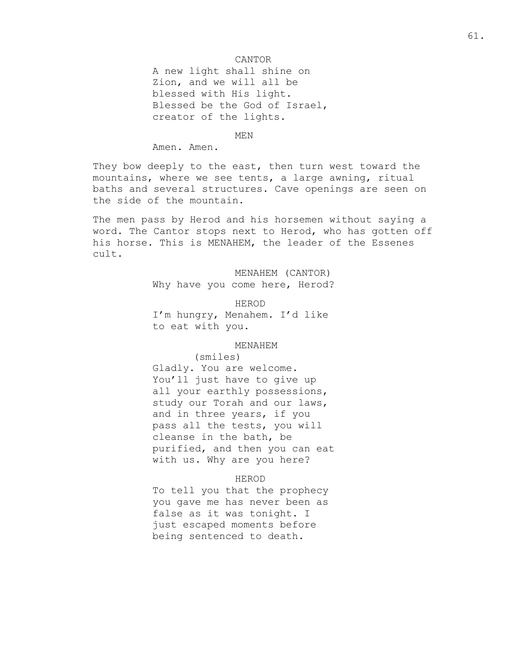## CANTOR

A new light shall shine on Zion, and we will all be blessed with His light. Blessed be the God of Israel, creator of the lights.

MEN

Amen. Amen.

They bow deeply to the east, then turn west toward the mountains, where we see tents, a large awning, ritual baths and several structures. Cave openings are seen on the side of the mountain.

The men pass by Herod and his horsemen without saying a word. The Cantor stops next to Herod, who has gotten off his horse. This is MENAHEM, the leader of the Essenes cult.

> MENAHEM (CANTOR) Why have you come here, Herod?

HEROD I'm hungry, Menahem. I'd like to eat with you.

#### MENAHEM

(smiles)

Gladly. You are welcome. You'll just have to give up all your earthly possessions, study our Torah and our laws, and in three years, if you pass all the tests, you will cleanse in the bath, be purified, and then you can eat with us. Why are you here?

#### HEROD

To tell you that the prophecy you gave me has never been as false as it was tonight. I just escaped moments before being sentenced to death.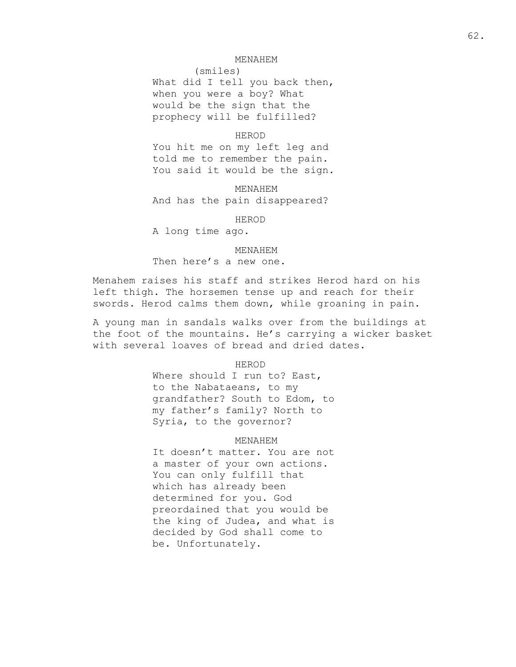#### MENAHEM

(smiles) What did I tell you back then, when you were a boy? What would be the sign that the prophecy will be fulfilled?

#### HEROD

You hit me on my left leg and told me to remember the pain. You said it would be the sign.

MENAHEM And has the pain disappeared?

HEROD

A long time ago.

#### MENAHEM

Then here's a new one.

Menahem raises his staff and strikes Herod hard on his left thigh. The horsemen tense up and reach for their swords. Herod calms them down, while groaning in pain.

A young man in sandals walks over from the buildings at the foot of the mountains. He's carrying a wicker basket with several loaves of bread and dried dates.

HEROD

Where should I run to? East, to the Nabataeans, to my grandfather? South to Edom, to my father's family? North to Syria, to the governor?

# MENAHEM

It doesn't matter. You are not a master of your own actions. You can only fulfill that which has already been determined for you. God preordained that you would be the king of Judea, and what is decided by God shall come to be. Unfortunately.